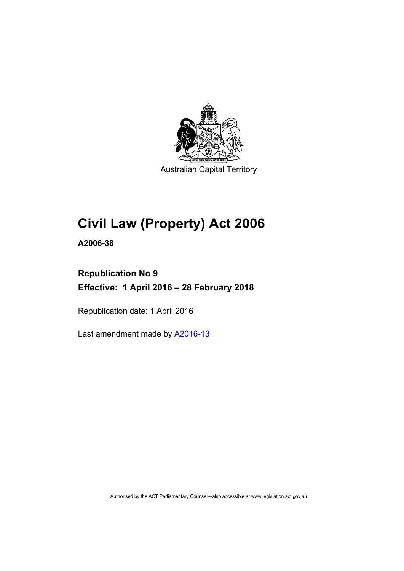

Australian Capital Territory

# **Civil Law (Property) Act 2006**

**A2006-38** 

# **Republication No 9 Effective: 1 April 2016 – 28 February 2018**

Republication date: 1 April 2016

Last amendment made by [A2016-13](http://www.legislation.act.gov.au/a/2016-13)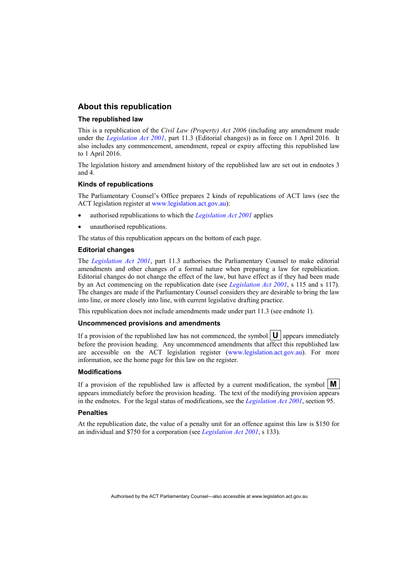#### **About this republication**

#### **The republished law**

This is a republication of the *Civil Law (Property) Act 2006* (including any amendment made under the *[Legislation Act 2001](http://www.legislation.act.gov.au/a/2001-14)*, part 11.3 (Editorial changes)) as in force on 1 April 2016*.* It also includes any commencement, amendment, repeal or expiry affecting this republished law to 1 April 2016.

The legislation history and amendment history of the republished law are set out in endnotes 3 and 4.

#### **Kinds of republications**

The Parliamentary Counsel's Office prepares 2 kinds of republications of ACT laws (see the ACT legislation register at [www.legislation.act.gov.au](http://www.legislation.act.gov.au/)):

- authorised republications to which the *[Legislation Act 2001](http://www.legislation.act.gov.au/a/2001-14)* applies
- unauthorised republications.

The status of this republication appears on the bottom of each page.

#### **Editorial changes**

The *[Legislation Act 2001](http://www.legislation.act.gov.au/a/2001-14)*, part 11.3 authorises the Parliamentary Counsel to make editorial amendments and other changes of a formal nature when preparing a law for republication. Editorial changes do not change the effect of the law, but have effect as if they had been made by an Act commencing on the republication date (see *[Legislation Act 2001](http://www.legislation.act.gov.au/a/2001-14)*, s 115 and s 117). The changes are made if the Parliamentary Counsel considers they are desirable to bring the law into line, or more closely into line, with current legislative drafting practice.

This republication does not include amendments made under part 11.3 (see endnote 1).

#### **Uncommenced provisions and amendments**

If a provision of the republished law has not commenced, the symbol  $\mathbf{U}$  appears immediately before the provision heading. Any uncommenced amendments that affect this republished law are accessible on the ACT legislation register [\(www.legislation.act.gov.au\)](http://www.legislation.act.gov.au/). For more information, see the home page for this law on the register.

#### **Modifications**

If a provision of the republished law is affected by a current modification, the symbol  $\mathbf{M}$ appears immediately before the provision heading. The text of the modifying provision appears in the endnotes. For the legal status of modifications, see the *[Legislation Act 2001](http://www.legislation.act.gov.au/a/2001-14)*, section 95.

#### **Penalties**

At the republication date, the value of a penalty unit for an offence against this law is \$150 for an individual and \$750 for a corporation (see *[Legislation Act 2001](http://www.legislation.act.gov.au/a/2001-14)*, s 133).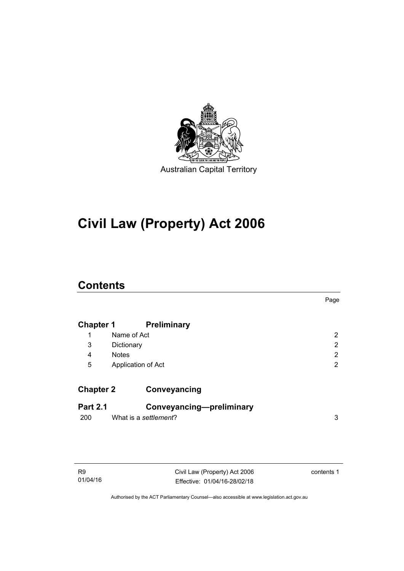

# **Civil Law (Property) Act 2006**

## **Contents**

|                  |                       |                          | Page                  |
|------------------|-----------------------|--------------------------|-----------------------|
| <b>Chapter 1</b> |                       | <b>Preliminary</b>       |                       |
| 1                | Name of Act           |                          | $\mathbf{2}^{\prime}$ |
| 3                | Dictionary            |                          | 2                     |
| 4                | <b>Notes</b>          |                          | 2                     |
| 5                | Application of Act    |                          | 2                     |
| <b>Chapter 2</b> |                       | Conveyancing             |                       |
| <b>Part 2.1</b>  |                       | Conveyancing-preliminary |                       |
| 200              | What is a settlement? |                          | 3                     |
|                  |                       |                          |                       |

Civil Law (Property) Act 2006 Effective: 01/04/16-28/02/18 contents 1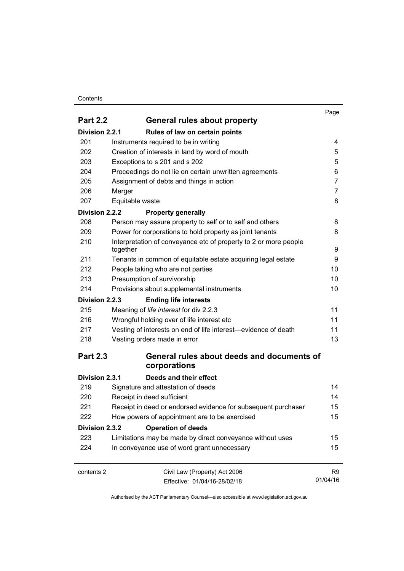#### **Contents**

|                 |                                                                  | Page           |
|-----------------|------------------------------------------------------------------|----------------|
| <b>Part 2.2</b> | General rules about property                                     |                |
| Division 2.2.1  | Rules of law on certain points                                   |                |
| 201             | Instruments required to be in writing                            | 4              |
| 202             | Creation of interests in land by word of mouth                   | 5              |
| 203             | Exceptions to s 201 and s 202                                    | 5              |
| 204             | Proceedings do not lie on certain unwritten agreements           | 6              |
| 205             | Assignment of debts and things in action                         | $\overline{7}$ |
| 206             | Merger                                                           | 7              |
| 207             | Equitable waste                                                  | 8              |
| Division 2.2.2  | <b>Property generally</b>                                        |                |
| 208             | Person may assure property to self or to self and others         | 8              |
| 209             | Power for corporations to hold property as joint tenants         | 8              |
| 210             | Interpretation of conveyance etc of property to 2 or more people |                |
|                 | together                                                         | 9              |
| 211             | Tenants in common of equitable estate acquiring legal estate     | 9              |
| 212             | People taking who are not parties                                | 10             |
| 213             | Presumption of survivorship                                      | 10             |
| 214             | Provisions about supplemental instruments                        | 10             |
| Division 2.2.3  | <b>Ending life interests</b>                                     |                |
| 215             | Meaning of life interest for div 2.2.3                           | 11             |
| 216             | Wrongful holding over of life interest etc                       | 11             |
| 217             | Vesting of interests on end of life interest-evidence of death   | 11             |
| 218             | Vesting orders made in error                                     | 13             |
| <b>Part 2.3</b> | General rules about deeds and documents of                       |                |
|                 | corporations                                                     |                |
| Division 2.3.1  | Deeds and their effect                                           |                |
| 219             | Signature and attestation of deeds                               | 14             |
| 220             | Receipt in deed sufficient                                       | 14             |
| 221             | Receipt in deed or endorsed evidence for subsequent purchaser    | 15             |
| 222             | How powers of appointment are to be exercised                    | 15             |
| Division 2.3.2  | <b>Operation of deeds</b>                                        |                |
| 223             | Limitations may be made by direct conveyance without uses        | 15             |
| 224             | In conveyance use of word grant unnecessary                      | 15             |
| contents 2      | Civil Law (Property) Act 2006                                    | R <sub>9</sub> |
|                 | Effective: 01/04/16-28/02/18                                     | 01/04/16       |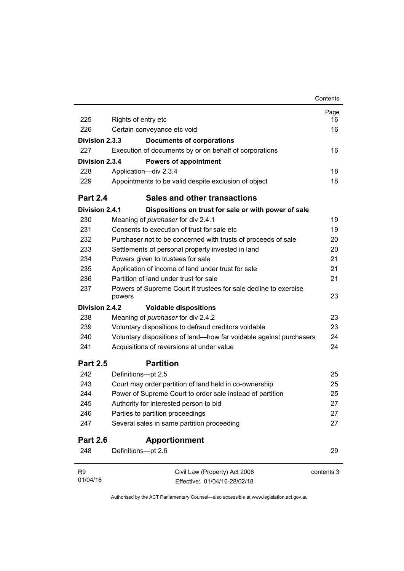|                 |                                                                            | Contents   |
|-----------------|----------------------------------------------------------------------------|------------|
| 225             |                                                                            | Page<br>16 |
| 226             | Rights of entry etc                                                        |            |
|                 | Certain conveyance etc void                                                | 16         |
| Division 2.3.3  | <b>Documents of corporations</b>                                           |            |
| 227             | Execution of documents by or on behalf of corporations                     | 16         |
| Division 2.3.4  | <b>Powers of appointment</b>                                               |            |
| 228             | Application-div 2.3.4                                                      | 18         |
| 229             | Appointments to be valid despite exclusion of object                       | 18         |
| <b>Part 2.4</b> | Sales and other transactions                                               |            |
| Division 2.4.1  | Dispositions on trust for sale or with power of sale                       |            |
| 230             | Meaning of purchaser for div 2.4.1                                         | 19         |
| 231             | Consents to execution of trust for sale etc.                               | 19         |
| 232             | Purchaser not to be concerned with trusts of proceeds of sale              | 20         |
| 233             | Settlements of personal property invested in land                          | 20         |
| 234             | Powers given to trustees for sale                                          | 21         |
| 235             | Application of income of land under trust for sale                         | 21         |
| 236             | Partition of land under trust for sale                                     | 21         |
| 237             | Powers of Supreme Court if trustees for sale decline to exercise<br>powers | 23         |
| Division 2.4.2  | <b>Voidable dispositions</b>                                               |            |
| 238             | Meaning of purchaser for div 2.4.2                                         | 23         |
| 239             | Voluntary dispositions to defraud creditors voidable                       | 23         |
| 240             | Voluntary dispositions of land-how far voidable against purchasers         | 24         |
| 241             | Acquisitions of reversions at under value                                  | 24         |
| <b>Part 2.5</b> | <b>Partition</b>                                                           |            |
| 242             | Definitions-pt 2.5                                                         | 25         |
| 243             | Court may order partition of land held in co-ownership                     | 25         |
| 244             | Power of Supreme Court to order sale instead of partition                  | 25         |
| 245             | Authority for interested person to bid                                     | 27         |
| 246             | Parties to partition proceedings                                           | 27         |
| 247             | Several sales in same partition proceeding                                 | 27         |
| <b>Part 2.6</b> | <b>Apportionment</b>                                                       |            |
| 248             | Definitions-pt 2.6                                                         | 29         |
| R <sub>9</sub>  | Civil Law (Property) Act 2006                                              | contents 3 |
| 01/04/16        | Effective: 01/04/16-28/02/18                                               |            |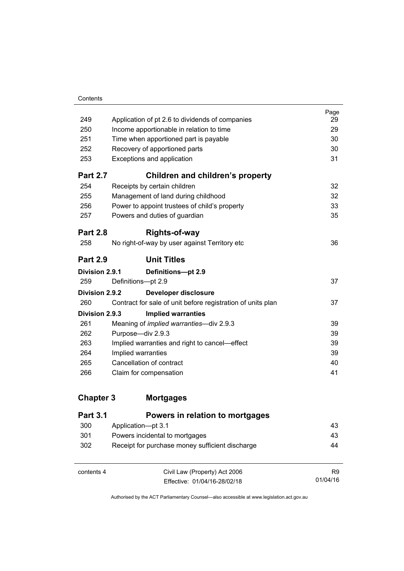| Contents |
|----------|
|          |

|                                                             | Page<br>29                                                                                                                                                            |
|-------------------------------------------------------------|-----------------------------------------------------------------------------------------------------------------------------------------------------------------------|
|                                                             | 29                                                                                                                                                                    |
|                                                             | 30                                                                                                                                                                    |
|                                                             | 30                                                                                                                                                                    |
| Exceptions and application                                  | 31                                                                                                                                                                    |
| <b>Children and children's property</b>                     |                                                                                                                                                                       |
| Receipts by certain children                                | 32                                                                                                                                                                    |
| Management of land during childhood                         | 32                                                                                                                                                                    |
| Power to appoint trustees of child's property               | 33                                                                                                                                                                    |
| Powers and duties of guardian                               | 35                                                                                                                                                                    |
| Rights-of-way                                               |                                                                                                                                                                       |
| No right-of-way by user against Territory etc               | 36                                                                                                                                                                    |
| <b>Unit Titles</b>                                          |                                                                                                                                                                       |
| Division 2.9.1<br>Definitions-pt 2.9                        |                                                                                                                                                                       |
| Definitions-pt 2.9                                          | 37                                                                                                                                                                    |
| Division 2.9.2<br>Developer disclosure                      |                                                                                                                                                                       |
| Contract for sale of unit before registration of units plan | 37                                                                                                                                                                    |
| Division 2.9.3<br><b>Implied warranties</b>                 |                                                                                                                                                                       |
| Meaning of <i>implied warranties</i> —div 2.9.3             | 39                                                                                                                                                                    |
| Purpose-div 2.9.3                                           | 39                                                                                                                                                                    |
| Implied warranties and right to cancel—effect               | 39                                                                                                                                                                    |
| Implied warranties                                          | 39                                                                                                                                                                    |
| Cancellation of contract                                    | 40                                                                                                                                                                    |
| Claim for compensation                                      | 41                                                                                                                                                                    |
|                                                             | Application of pt 2.6 to dividends of companies<br>Income apportionable in relation to time<br>Time when apportioned part is payable<br>Recovery of apportioned parts |

| <b>Part 3.1</b> | Powers in relation to mortgages                 |                |
|-----------------|-------------------------------------------------|----------------|
| 300             | Application-pt 3.1                              | 43             |
| 301             | Powers incidental to mortgages                  | 43             |
| 302             | Receipt for purchase money sufficient discharge | 44             |
|                 |                                                 |                |
| contents 4      | Civil Law (Property) Act 2006                   | R <sub>9</sub> |
|                 | Effective: 01/04/16-28/02/18                    | 01/04/16       |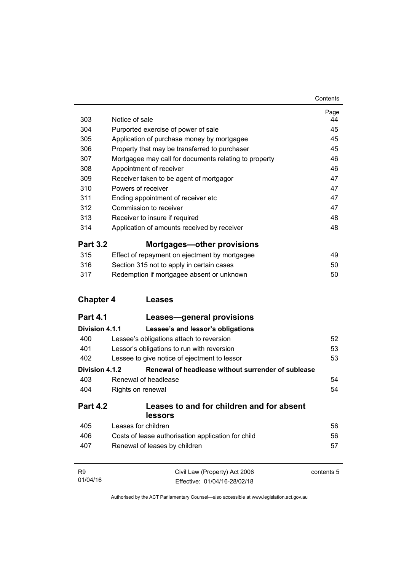| 303              | Notice of sale                                                                                                                                                                                                                                                                                                                                                                            | Page<br>44 |
|------------------|-------------------------------------------------------------------------------------------------------------------------------------------------------------------------------------------------------------------------------------------------------------------------------------------------------------------------------------------------------------------------------------------|------------|
| 304              | Purported exercise of power of sale<br>Application of purchase money by mortgagee<br>Property that may be transferred to purchaser<br>Mortgagee may call for documents relating to property<br>Appointment of receiver<br>Receiver taken to be agent of mortgagor<br>Powers of receiver<br>Ending appointment of receiver etc<br>Commission to receiver<br>Receiver to insure if required | 45         |
| 305              |                                                                                                                                                                                                                                                                                                                                                                                           | 45         |
| 306              |                                                                                                                                                                                                                                                                                                                                                                                           | 45         |
| 307              |                                                                                                                                                                                                                                                                                                                                                                                           | 46         |
| 308              |                                                                                                                                                                                                                                                                                                                                                                                           | 46         |
| 309              |                                                                                                                                                                                                                                                                                                                                                                                           | 47         |
| 310              |                                                                                                                                                                                                                                                                                                                                                                                           | 47         |
| 311              |                                                                                                                                                                                                                                                                                                                                                                                           | 47         |
| 312              |                                                                                                                                                                                                                                                                                                                                                                                           | 47         |
| 313              |                                                                                                                                                                                                                                                                                                                                                                                           | 48         |
| 314              | Application of amounts received by receiver                                                                                                                                                                                                                                                                                                                                               | 48         |
| <b>Part 3.2</b>  | <b>Mortgages-other provisions</b>                                                                                                                                                                                                                                                                                                                                                         |            |
| 315              | Effect of repayment on ejectment by mortgagee                                                                                                                                                                                                                                                                                                                                             | 49         |
| 316              | Section 315 not to apply in certain cases                                                                                                                                                                                                                                                                                                                                                 | 50         |
| 317              | Redemption if mortgagee absent or unknown                                                                                                                                                                                                                                                                                                                                                 | 50         |
|                  |                                                                                                                                                                                                                                                                                                                                                                                           |            |
| <b>Chapter 4</b> | Leases                                                                                                                                                                                                                                                                                                                                                                                    |            |
| <b>Part 4.1</b>  | Leases—general provisions                                                                                                                                                                                                                                                                                                                                                                 |            |
| Division 4.1.1   | Lessee's and lessor's obligations                                                                                                                                                                                                                                                                                                                                                         |            |
| 400              | Lessee's obligations attach to reversion                                                                                                                                                                                                                                                                                                                                                  | 52         |
| 401              | Lessor's obligations to run with reversion                                                                                                                                                                                                                                                                                                                                                | 53         |
| 402              | Lessee to give notice of ejectment to lessor                                                                                                                                                                                                                                                                                                                                              | 53         |
| Division 4.1.2   | Renewal of headlease without surrender of sublease                                                                                                                                                                                                                                                                                                                                        |            |
| 403              | Renewal of headlease                                                                                                                                                                                                                                                                                                                                                                      | 54         |
| 404              | Rights on renewal                                                                                                                                                                                                                                                                                                                                                                         | 54         |
| <b>Part 4.2</b>  | Leases to and for children and for absent<br>lessors                                                                                                                                                                                                                                                                                                                                      |            |
|                  |                                                                                                                                                                                                                                                                                                                                                                                           |            |
| 405              | Leases for children                                                                                                                                                                                                                                                                                                                                                                       | 56         |
| 406              | Costs of lease authorisation application for child                                                                                                                                                                                                                                                                                                                                        | 56         |
| 407              | Renewal of leases by children                                                                                                                                                                                                                                                                                                                                                             | 57         |
| R9               | Civil Law (Property) Act 2006                                                                                                                                                                                                                                                                                                                                                             | contents 5 |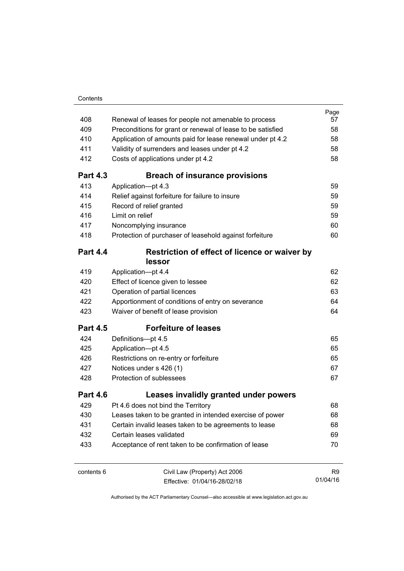| 408             | Renewal of leases for people not amenable to process                                      | Page<br>57     |
|-----------------|-------------------------------------------------------------------------------------------|----------------|
| 409             | Preconditions for grant or renewal of lease to be satisfied                               | 58             |
| 410             | Application of amounts paid for lease renewal under pt 4.2                                | 58             |
| 411             | Validity of surrenders and leases under pt 4.2                                            | 58             |
| 412             | Costs of applications under pt 4.2                                                        | 58             |
| <b>Part 4.3</b> | <b>Breach of insurance provisions</b>                                                     |                |
| 413             | Application-pt 4.3                                                                        | 59             |
| 414             | Relief against forfeiture for failure to insure                                           | 59             |
| 415             | Record of relief granted                                                                  | 59             |
| 416             | Limit on relief                                                                           | 59             |
| 417             | Noncomplying insurance                                                                    | 60             |
| 418             | Protection of purchaser of leasehold against forfeiture                                   | 60             |
| <b>Part 4.4</b> | Restriction of effect of licence or waiver by                                             |                |
|                 | lessor                                                                                    |                |
| 419             | Application-pt 4.4                                                                        | 62             |
| 420             | Effect of licence given to lessee                                                         | 62             |
| 421             | Operation of partial licences                                                             | 63             |
| 422<br>423      | Apportionment of conditions of entry on severance<br>Waiver of benefit of lease provision | 64<br>64       |
| <b>Part 4.5</b> | <b>Forfeiture of leases</b>                                                               |                |
| 424             | Definitions-pt 4.5                                                                        | 65             |
| 425             | Application-pt 4.5                                                                        | 65             |
| 426             | Restrictions on re-entry or forfeiture                                                    | 65             |
| 427             | Notices under s 426 (1)                                                                   | 67             |
| 428             | Protection of sublessees                                                                  | 67             |
| <b>Part 4.6</b> | Leases invalidly granted under powers                                                     |                |
| 429             | Pt 4.6 does not bind the Territory                                                        | 68             |
| 430             | Leases taken to be granted in intended exercise of power                                  | 68             |
| 431             | Certain invalid leases taken to be agreements to lease                                    | 68             |
| 432             | Certain leases validated                                                                  | 69             |
| 433             | Acceptance of rent taken to be confirmation of lease                                      | 70             |
|                 |                                                                                           |                |
| contents 6      | Civil Law (Property) Act 2006                                                             | R <sub>9</sub> |

Effective: 01/04/16-28/02/18

01/04/16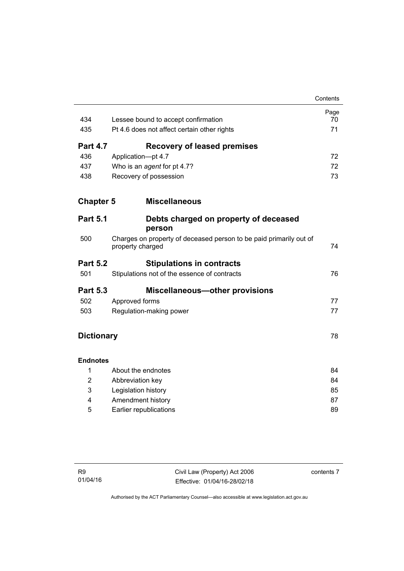|                   |                                                                                        | Contents |
|-------------------|----------------------------------------------------------------------------------------|----------|
|                   |                                                                                        | Page     |
| 434               | Lessee bound to accept confirmation                                                    | 70       |
| 435               | Pt 4.6 does not affect certain other rights                                            | 71       |
| <b>Part 4.7</b>   | <b>Recovery of leased premises</b>                                                     |          |
| 436               | Application-pt 4.7                                                                     | 72       |
| 437               | Who is an agent for pt 4.7?                                                            | 72       |
| 438               | Recovery of possession                                                                 | 73       |
| <b>Chapter 5</b>  | <b>Miscellaneous</b>                                                                   |          |
| <b>Part 5.1</b>   | Debts charged on property of deceased<br>person                                        |          |
| 500               | Charges on property of deceased person to be paid primarily out of<br>property charged | 74       |
| <b>Part 5.2</b>   | <b>Stipulations in contracts</b>                                                       |          |
| 501               | Stipulations not of the essence of contracts                                           | 76       |
| <b>Part 5.3</b>   | <b>Miscellaneous-other provisions</b>                                                  |          |
| 502               | Approved forms                                                                         | 77       |
| 503               | Regulation-making power                                                                | 77       |
| <b>Dictionary</b> |                                                                                        | 78       |
| <b>Endnotes</b>   |                                                                                        |          |
| 1                 | About the endnotes                                                                     | 84       |
| $\overline{2}$    | Abbreviation key                                                                       | 84       |
| 3                 | Legislation history                                                                    | 85       |
| 4                 | Amendment history                                                                      | 87       |
| 5                 | Earlier republications                                                                 | 89       |

contents 7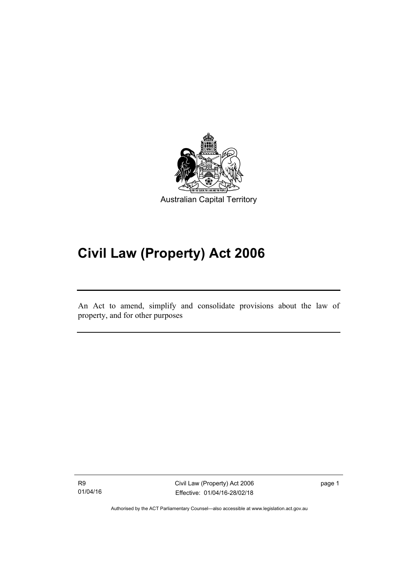

# **Civil Law (Property) Act 2006**

An Act to amend, simplify and consolidate provisions about the law of property, and for other purposes

R9 01/04/16

l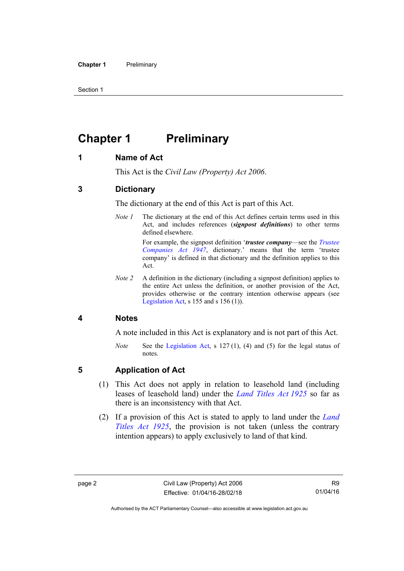Section 1

# <span id="page-11-0"></span>**Chapter 1 Preliminary**

#### <span id="page-11-1"></span>**1 Name of Act**

This Act is the *Civil Law (Property) Act 2006*.

#### <span id="page-11-2"></span>**3 Dictionary**

The dictionary at the end of this Act is part of this Act.

*Note 1* The dictionary at the end of this Act defines certain terms used in this Act, and includes references (*signpost definitions*) to other terms defined elsewhere.

> For example, the signpost definition '*trustee company*—see the *[Trustee](http://www.legislation.act.gov.au/a/1947-15)  [Companies Act 1947](http://www.legislation.act.gov.au/a/1947-15)*, dictionary.' means that the term 'trustee company' is defined in that dictionary and the definition applies to this Act.

*Note 2* A definition in the dictionary (including a signpost definition) applies to the entire Act unless the definition, or another provision of the Act, provides otherwise or the contrary intention otherwise appears (see [Legislation Act,](http://www.legislation.act.gov.au/a/2001-14) s  $155$  and s  $156$  (1)).

#### <span id="page-11-3"></span>**4 Notes**

A note included in this Act is explanatory and is not part of this Act.

*Note* See the [Legislation Act,](http://www.legislation.act.gov.au/a/2001-14) s 127(1), (4) and (5) for the legal status of notes.

#### <span id="page-11-4"></span>**5 Application of Act**

- (1) This Act does not apply in relation to leasehold land (including leases of leasehold land) under the *[Land Titles Act 1925](http://www.legislation.act.gov.au/a/1925-1)* so far as there is an inconsistency with that Act.
- (2) If a provision of this Act is stated to apply to land under the *[Land](http://www.legislation.act.gov.au/a/1925-1)  [Titles Act 1925](http://www.legislation.act.gov.au/a/1925-1)*, the provision is not taken (unless the contrary intention appears) to apply exclusively to land of that kind.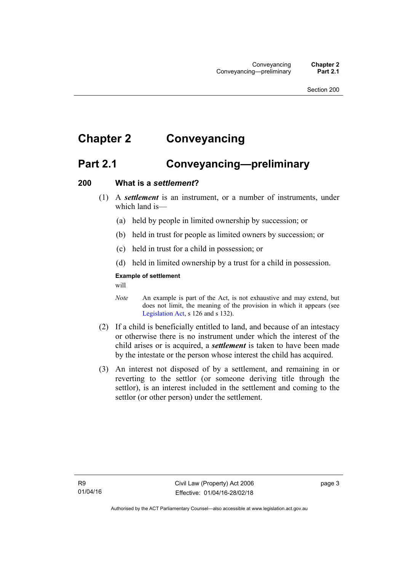# <span id="page-12-0"></span>**Chapter 2 Conveyancing**

### <span id="page-12-1"></span>**Part 2.1 Conveyancing—preliminary**

#### <span id="page-12-2"></span>**200 What is a** *settlement***?**

- (1) A *settlement* is an instrument, or a number of instruments, under which land is—
	- (a) held by people in limited ownership by succession; or
	- (b) held in trust for people as limited owners by succession; or
	- (c) held in trust for a child in possession; or
	- (d) held in limited ownership by a trust for a child in possession.

#### **Example of settlement**

will

- *Note* An example is part of the Act, is not exhaustive and may extend, but does not limit, the meaning of the provision in which it appears (see [Legislation Act,](http://www.legislation.act.gov.au/a/2001-14) s 126 and s 132).
- (2) If a child is beneficially entitled to land, and because of an intestacy or otherwise there is no instrument under which the interest of the child arises or is acquired, a *settlement* is taken to have been made by the intestate or the person whose interest the child has acquired.
- (3) An interest not disposed of by a settlement, and remaining in or reverting to the settlor (or someone deriving title through the settlor), is an interest included in the settlement and coming to the settlor (or other person) under the settlement.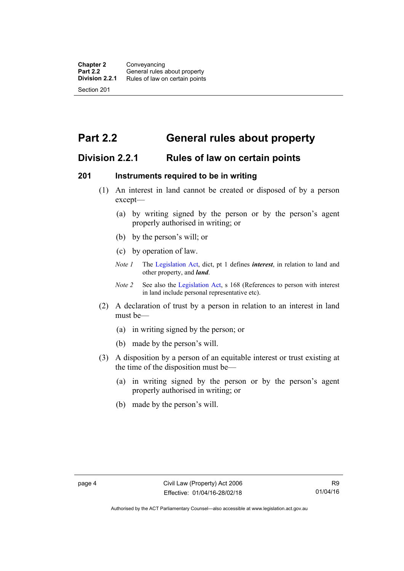## <span id="page-13-0"></span>**Part 2.2 General rules about property**

### <span id="page-13-1"></span>**Division 2.2.1 Rules of law on certain points**

#### <span id="page-13-2"></span>**201 Instruments required to be in writing**

- (1) An interest in land cannot be created or disposed of by a person except—
	- (a) by writing signed by the person or by the person's agent properly authorised in writing; or
	- (b) by the person's will; or
	- (c) by operation of law.
	- *Note 1* The [Legislation Act](http://www.legislation.act.gov.au/a/2001-14), dict, pt 1 defines *interest*, in relation to land and other property, and *land*.
	- *Note 2* See also the [Legislation Act,](http://www.legislation.act.gov.au/a/2001-14) s 168 (References to person with interest in land include personal representative etc).
- (2) A declaration of trust by a person in relation to an interest in land must be—
	- (a) in writing signed by the person; or
	- (b) made by the person's will.
- (3) A disposition by a person of an equitable interest or trust existing at the time of the disposition must be—
	- (a) in writing signed by the person or by the person's agent properly authorised in writing; or
	- (b) made by the person's will.

Authorised by the ACT Parliamentary Counsel—also accessible at www.legislation.act.gov.au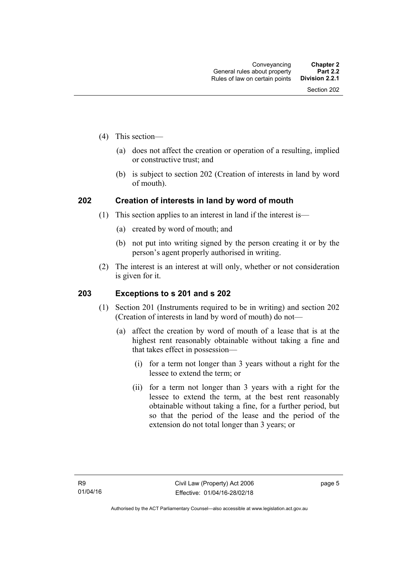- (4) This section—
	- (a) does not affect the creation or operation of a resulting, implied or constructive trust; and
	- (b) is subject to section 202 (Creation of interests in land by word of mouth).

#### <span id="page-14-0"></span>**202 Creation of interests in land by word of mouth**

- (1) This section applies to an interest in land if the interest is—
	- (a) created by word of mouth; and
	- (b) not put into writing signed by the person creating it or by the person's agent properly authorised in writing.
- (2) The interest is an interest at will only, whether or not consideration is given for it.

#### <span id="page-14-1"></span>**203 Exceptions to s 201 and s 202**

- (1) Section 201 (Instruments required to be in writing) and section 202 (Creation of interests in land by word of mouth) do not—
	- (a) affect the creation by word of mouth of a lease that is at the highest rent reasonably obtainable without taking a fine and that takes effect in possession—
		- (i) for a term not longer than 3 years without a right for the lessee to extend the term; or
		- (ii) for a term not longer than 3 years with a right for the lessee to extend the term, at the best rent reasonably obtainable without taking a fine, for a further period, but so that the period of the lease and the period of the extension do not total longer than 3 years; or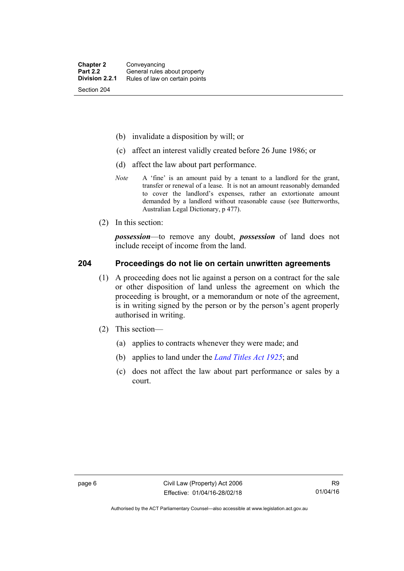- (b) invalidate a disposition by will; or
- (c) affect an interest validly created before 26 June 1986; or
- (d) affect the law about part performance.
- *Note* A 'fine' is an amount paid by a tenant to a landlord for the grant, transfer or renewal of a lease. It is not an amount reasonably demanded to cover the landlord's expenses, rather an extortionate amount demanded by a landlord without reasonable cause (see Butterworths, Australian Legal Dictionary, p 477).
- (2) In this section:

*possession*—to remove any doubt, *possession* of land does not include receipt of income from the land.

#### <span id="page-15-0"></span>**204 Proceedings do not lie on certain unwritten agreements**

- (1) A proceeding does not lie against a person on a contract for the sale or other disposition of land unless the agreement on which the proceeding is brought, or a memorandum or note of the agreement, is in writing signed by the person or by the person's agent properly authorised in writing.
- (2) This section—
	- (a) applies to contracts whenever they were made; and
	- (b) applies to land under the *[Land Titles Act 1925](http://www.legislation.act.gov.au/a/1925-1)*; and
	- (c) does not affect the law about part performance or sales by a court.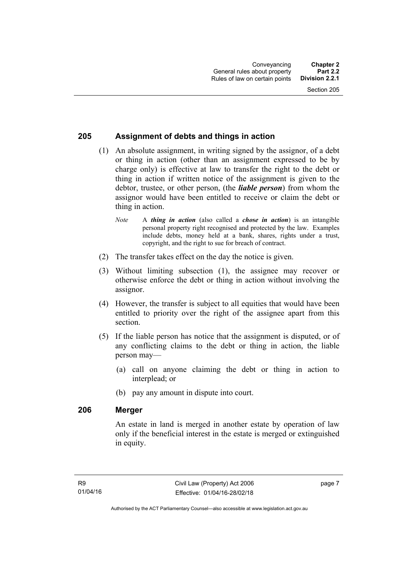#### <span id="page-16-0"></span>**205 Assignment of debts and things in action**

- (1) An absolute assignment, in writing signed by the assignor, of a debt or thing in action (other than an assignment expressed to be by charge only) is effective at law to transfer the right to the debt or thing in action if written notice of the assignment is given to the debtor, trustee, or other person, (the *liable person*) from whom the assignor would have been entitled to receive or claim the debt or thing in action.
	- *Note* A *thing in action* (also called a *chose in action*) is an intangible personal property right recognised and protected by the law. Examples include debts, money held at a bank, shares, rights under a trust, copyright, and the right to sue for breach of contract.
- (2) The transfer takes effect on the day the notice is given.
- (3) Without limiting subsection (1), the assignee may recover or otherwise enforce the debt or thing in action without involving the assignor.
- (4) However, the transfer is subject to all equities that would have been entitled to priority over the right of the assignee apart from this section.
- (5) If the liable person has notice that the assignment is disputed, or of any conflicting claims to the debt or thing in action, the liable person may—
	- (a) call on anyone claiming the debt or thing in action to interplead; or
	- (b) pay any amount in dispute into court.

#### <span id="page-16-1"></span>**206 Merger**

An estate in land is merged in another estate by operation of law only if the beneficial interest in the estate is merged or extinguished in equity.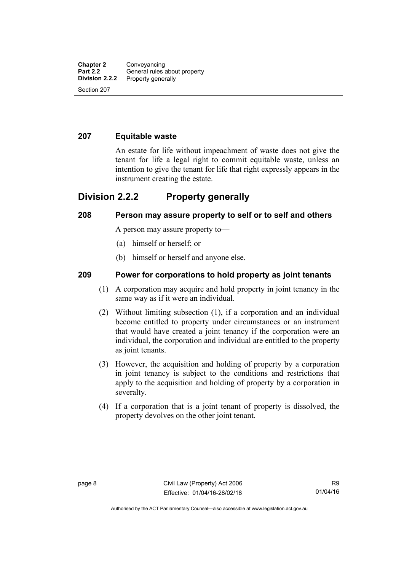#### <span id="page-17-0"></span>**207 Equitable waste**

An estate for life without impeachment of waste does not give the tenant for life a legal right to commit equitable waste, unless an intention to give the tenant for life that right expressly appears in the instrument creating the estate.

### <span id="page-17-1"></span>**Division 2.2.2 Property generally**

#### <span id="page-17-2"></span>**208 Person may assure property to self or to self and others**

A person may assure property to—

- (a) himself or herself; or
- (b) himself or herself and anyone else.

#### <span id="page-17-3"></span>**209 Power for corporations to hold property as joint tenants**

- (1) A corporation may acquire and hold property in joint tenancy in the same way as if it were an individual.
- (2) Without limiting subsection (1), if a corporation and an individual become entitled to property under circumstances or an instrument that would have created a joint tenancy if the corporation were an individual, the corporation and individual are entitled to the property as joint tenants.
- (3) However, the acquisition and holding of property by a corporation in joint tenancy is subject to the conditions and restrictions that apply to the acquisition and holding of property by a corporation in severalty.
- (4) If a corporation that is a joint tenant of property is dissolved, the property devolves on the other joint tenant.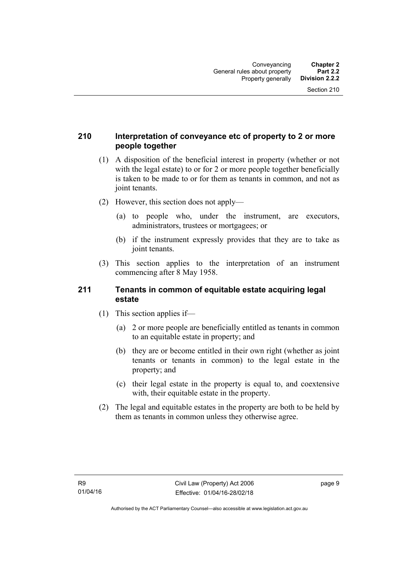#### <span id="page-18-0"></span>**210 Interpretation of conveyance etc of property to 2 or more people together**

- (1) A disposition of the beneficial interest in property (whether or not with the legal estate) to or for 2 or more people together beneficially is taken to be made to or for them as tenants in common, and not as joint tenants.
- (2) However, this section does not apply—
	- (a) to people who, under the instrument, are executors, administrators, trustees or mortgagees; or
	- (b) if the instrument expressly provides that they are to take as joint tenants.
- (3) This section applies to the interpretation of an instrument commencing after 8 May 1958.

#### <span id="page-18-1"></span>**211 Tenants in common of equitable estate acquiring legal estate**

- (1) This section applies if—
	- (a) 2 or more people are beneficially entitled as tenants in common to an equitable estate in property; and
	- (b) they are or become entitled in their own right (whether as joint tenants or tenants in common) to the legal estate in the property; and
	- (c) their legal estate in the property is equal to, and coextensive with, their equitable estate in the property.
- (2) The legal and equitable estates in the property are both to be held by them as tenants in common unless they otherwise agree.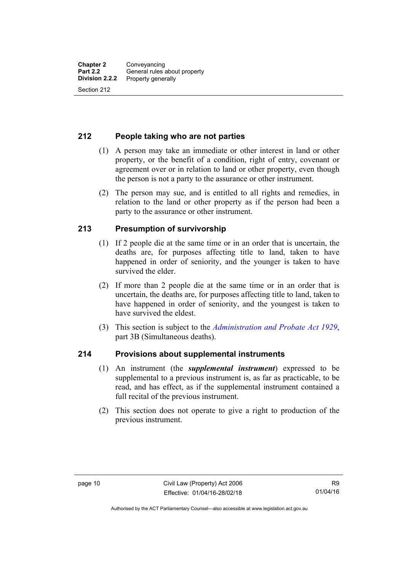#### <span id="page-19-0"></span>**212 People taking who are not parties**

- (1) A person may take an immediate or other interest in land or other property, or the benefit of a condition, right of entry, covenant or agreement over or in relation to land or other property, even though the person is not a party to the assurance or other instrument.
- (2) The person may sue, and is entitled to all rights and remedies, in relation to the land or other property as if the person had been a party to the assurance or other instrument.

#### <span id="page-19-1"></span>**213 Presumption of survivorship**

- (1) If 2 people die at the same time or in an order that is uncertain, the deaths are, for purposes affecting title to land, taken to have happened in order of seniority, and the younger is taken to have survived the elder.
- (2) If more than 2 people die at the same time or in an order that is uncertain, the deaths are, for purposes affecting title to land, taken to have happened in order of seniority, and the youngest is taken to have survived the eldest.
- (3) This section is subject to the *[Administration and Probate Act 1929](http://www.legislation.act.gov.au/a/1929-18)*, part 3B (Simultaneous deaths).

#### <span id="page-19-2"></span>**214 Provisions about supplemental instruments**

- (1) An instrument (the *supplemental instrument*) expressed to be supplemental to a previous instrument is, as far as practicable, to be read, and has effect, as if the supplemental instrument contained a full recital of the previous instrument.
- (2) This section does not operate to give a right to production of the previous instrument.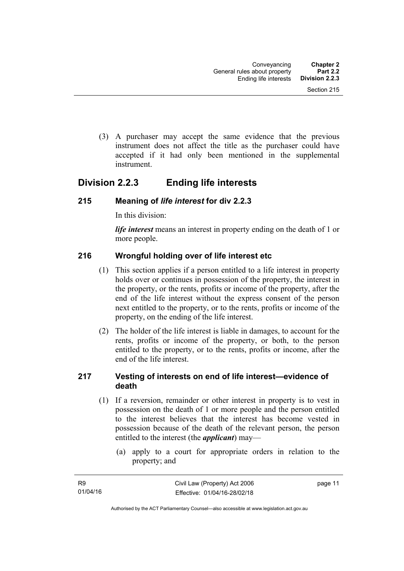(3) A purchaser may accept the same evidence that the previous instrument does not affect the title as the purchaser could have accepted if it had only been mentioned in the supplemental instrument.

### <span id="page-20-0"></span>**Division 2.2.3 Ending life interests**

#### <span id="page-20-1"></span>**215 Meaning of** *life interest* **for div 2.2.3**

In this division:

*life interest* means an interest in property ending on the death of 1 or more people.

#### <span id="page-20-2"></span>**216 Wrongful holding over of life interest etc**

- (1) This section applies if a person entitled to a life interest in property holds over or continues in possession of the property, the interest in the property, or the rents, profits or income of the property, after the end of the life interest without the express consent of the person next entitled to the property, or to the rents, profits or income of the property, on the ending of the life interest.
- (2) The holder of the life interest is liable in damages, to account for the rents, profits or income of the property, or both, to the person entitled to the property, or to the rents, profits or income, after the end of the life interest.

#### <span id="page-20-3"></span>**217 Vesting of interests on end of life interest—evidence of death**

- (1) If a reversion, remainder or other interest in property is to vest in possession on the death of 1 or more people and the person entitled to the interest believes that the interest has become vested in possession because of the death of the relevant person, the person entitled to the interest (the *applicant*) may—
	- (a) apply to a court for appropriate orders in relation to the property; and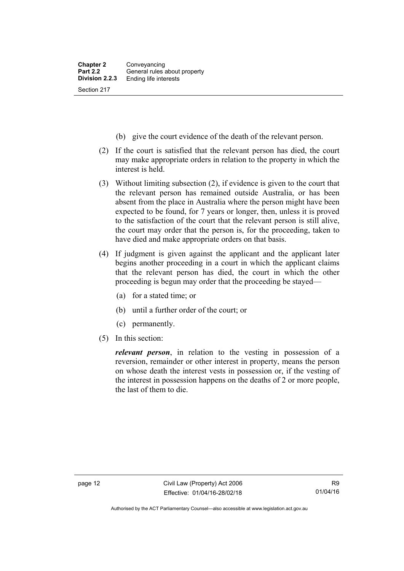- (b) give the court evidence of the death of the relevant person.
- (2) If the court is satisfied that the relevant person has died, the court may make appropriate orders in relation to the property in which the interest is held.
- (3) Without limiting subsection (2), if evidence is given to the court that the relevant person has remained outside Australia, or has been absent from the place in Australia where the person might have been expected to be found, for 7 years or longer, then, unless it is proved to the satisfaction of the court that the relevant person is still alive, the court may order that the person is, for the proceeding, taken to have died and make appropriate orders on that basis.
- (4) If judgment is given against the applicant and the applicant later begins another proceeding in a court in which the applicant claims that the relevant person has died, the court in which the other proceeding is begun may order that the proceeding be stayed—
	- (a) for a stated time; or
	- (b) until a further order of the court; or
	- (c) permanently.
- (5) In this section:

*relevant person*, in relation to the vesting in possession of a reversion, remainder or other interest in property, means the person on whose death the interest vests in possession or, if the vesting of the interest in possession happens on the deaths of 2 or more people, the last of them to die.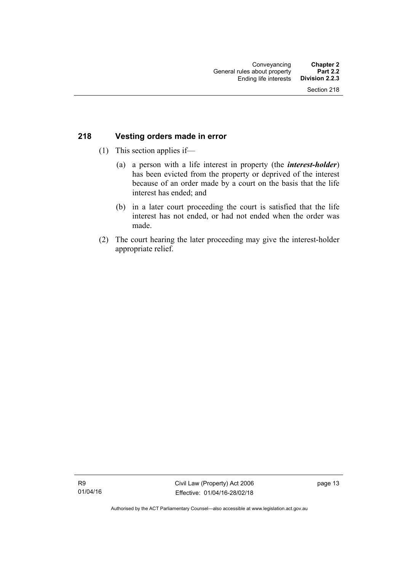#### <span id="page-22-0"></span>**218 Vesting orders made in error**

- (1) This section applies if—
	- (a) a person with a life interest in property (the *interest-holder*) has been evicted from the property or deprived of the interest because of an order made by a court on the basis that the life interest has ended; and
	- (b) in a later court proceeding the court is satisfied that the life interest has not ended, or had not ended when the order was made.
- (2) The court hearing the later proceeding may give the interest-holder appropriate relief.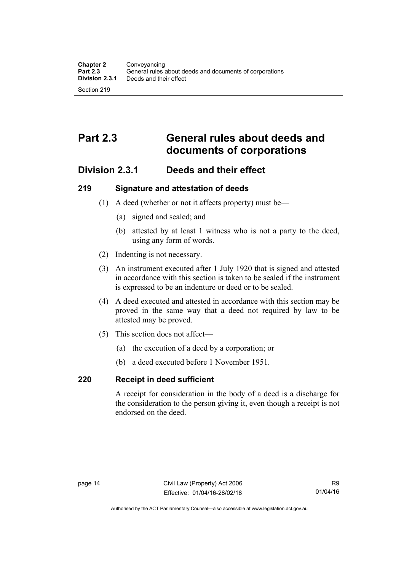## <span id="page-23-0"></span>**Part 2.3 General rules about deeds and documents of corporations**

### <span id="page-23-1"></span>**Division 2.3.1 Deeds and their effect**

#### <span id="page-23-2"></span>**219 Signature and attestation of deeds**

- (1) A deed (whether or not it affects property) must be—
	- (a) signed and sealed; and
	- (b) attested by at least 1 witness who is not a party to the deed, using any form of words.
- (2) Indenting is not necessary.
- (3) An instrument executed after 1 July 1920 that is signed and attested in accordance with this section is taken to be sealed if the instrument is expressed to be an indenture or deed or to be sealed.
- (4) A deed executed and attested in accordance with this section may be proved in the same way that a deed not required by law to be attested may be proved.
- (5) This section does not affect—
	- (a) the execution of a deed by a corporation; or
	- (b) a deed executed before 1 November 1951.

#### <span id="page-23-3"></span>**220 Receipt in deed sufficient**

A receipt for consideration in the body of a deed is a discharge for the consideration to the person giving it, even though a receipt is not endorsed on the deed.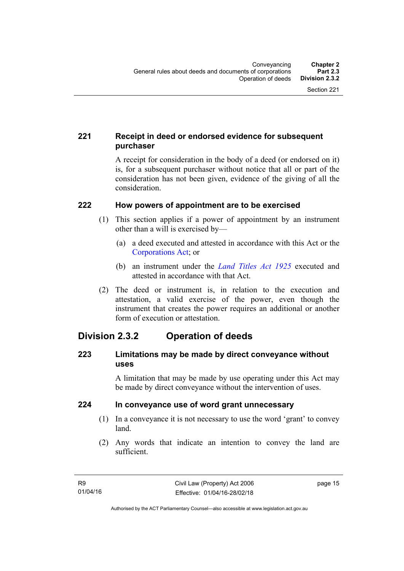### <span id="page-24-0"></span>**221 Receipt in deed or endorsed evidence for subsequent purchaser**

A receipt for consideration in the body of a deed (or endorsed on it) is, for a subsequent purchaser without notice that all or part of the consideration has not been given, evidence of the giving of all the consideration.

#### <span id="page-24-1"></span>**222 How powers of appointment are to be exercised**

- (1) This section applies if a power of appointment by an instrument other than a will is exercised by—
	- (a) a deed executed and attested in accordance with this Act or the [Corporations Act;](http://www.comlaw.gov.au/Series/C2004A00818) or
	- (b) an instrument under the *[Land Titles Act 1925](http://www.legislation.act.gov.au/a/1925-1)* executed and attested in accordance with that Act.
- (2) The deed or instrument is, in relation to the execution and attestation, a valid exercise of the power, even though the instrument that creates the power requires an additional or another form of execution or attestation.

### <span id="page-24-2"></span>**Division 2.3.2 Operation of deeds**

#### <span id="page-24-3"></span>**223 Limitations may be made by direct conveyance without uses**

A limitation that may be made by use operating under this Act may be made by direct conveyance without the intervention of uses.

#### <span id="page-24-4"></span>**224 In conveyance use of word grant unnecessary**

- (1) In a conveyance it is not necessary to use the word 'grant' to convey land.
- (2) Any words that indicate an intention to convey the land are sufficient.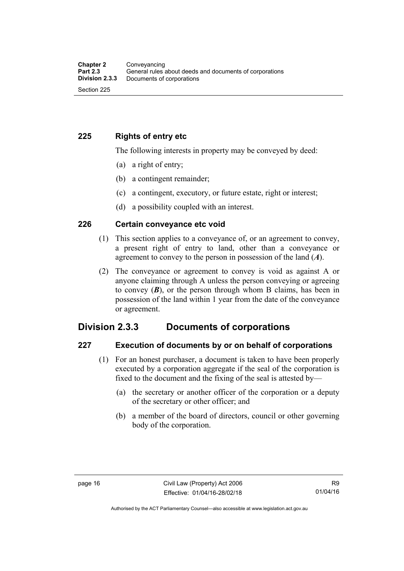#### <span id="page-25-0"></span>**225 Rights of entry etc**

The following interests in property may be conveyed by deed:

- (a) a right of entry;
- (b) a contingent remainder;
- (c) a contingent, executory, or future estate, right or interest;
- (d) a possibility coupled with an interest.

#### <span id="page-25-1"></span>**226 Certain conveyance etc void**

- (1) This section applies to a conveyance of, or an agreement to convey, a present right of entry to land, other than a conveyance or agreement to convey to the person in possession of the land (*A*).
- (2) The conveyance or agreement to convey is void as against A or anyone claiming through A unless the person conveying or agreeing to convey  $(B)$ , or the person through whom B claims, has been in possession of the land within 1 year from the date of the conveyance or agreement.

### <span id="page-25-2"></span>**Division 2.3.3 Documents of corporations**

#### <span id="page-25-3"></span>**227 Execution of documents by or on behalf of corporations**

- (1) For an honest purchaser, a document is taken to have been properly executed by a corporation aggregate if the seal of the corporation is fixed to the document and the fixing of the seal is attested by—
	- (a) the secretary or another officer of the corporation or a deputy of the secretary or other officer; and
	- (b) a member of the board of directors, council or other governing body of the corporation.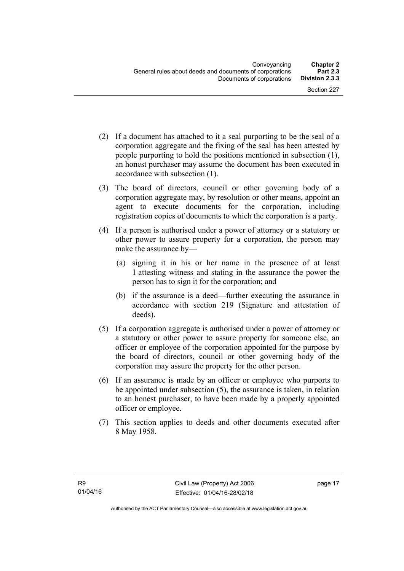- (2) If a document has attached to it a seal purporting to be the seal of a corporation aggregate and the fixing of the seal has been attested by people purporting to hold the positions mentioned in subsection (1), an honest purchaser may assume the document has been executed in accordance with subsection (1).
- (3) The board of directors, council or other governing body of a corporation aggregate may, by resolution or other means, appoint an agent to execute documents for the corporation, including registration copies of documents to which the corporation is a party.
- (4) If a person is authorised under a power of attorney or a statutory or other power to assure property for a corporation, the person may make the assurance by—
	- (a) signing it in his or her name in the presence of at least 1 attesting witness and stating in the assurance the power the person has to sign it for the corporation; and
	- (b) if the assurance is a deed—further executing the assurance in accordance with section 219 (Signature and attestation of deeds).
- (5) If a corporation aggregate is authorised under a power of attorney or a statutory or other power to assure property for someone else, an officer or employee of the corporation appointed for the purpose by the board of directors, council or other governing body of the corporation may assure the property for the other person.
- (6) If an assurance is made by an officer or employee who purports to be appointed under subsection (5), the assurance is taken, in relation to an honest purchaser, to have been made by a properly appointed officer or employee.
- (7) This section applies to deeds and other documents executed after 8 May 1958.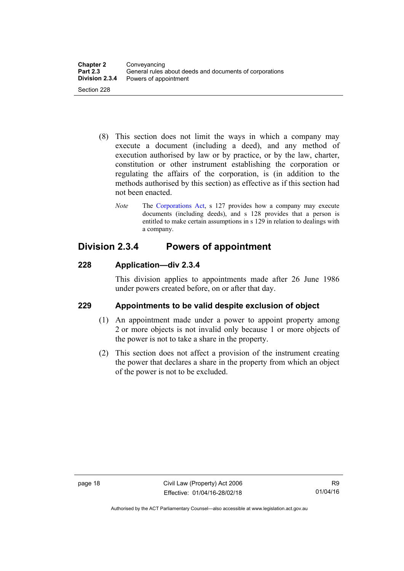- (8) This section does not limit the ways in which a company may execute a document (including a deed), and any method of execution authorised by law or by practice, or by the law, charter, constitution or other instrument establishing the corporation or regulating the affairs of the corporation, is (in addition to the methods authorised by this section) as effective as if this section had not been enacted.
	- *Note* The [Corporations Act,](http://www.comlaw.gov.au/Series/C2004A00818) s 127 provides how a company may execute documents (including deeds), and s 128 provides that a person is entitled to make certain assumptions in s 129 in relation to dealings with a company.

### <span id="page-27-0"></span>**Division 2.3.4 Powers of appointment**

### <span id="page-27-1"></span>**228 Application—div 2.3.4**

This division applies to appointments made after 26 June 1986 under powers created before, on or after that day.

### <span id="page-27-2"></span>**229 Appointments to be valid despite exclusion of object**

- (1) An appointment made under a power to appoint property among 2 or more objects is not invalid only because 1 or more objects of the power is not to take a share in the property.
- (2) This section does not affect a provision of the instrument creating the power that declares a share in the property from which an object of the power is not to be excluded.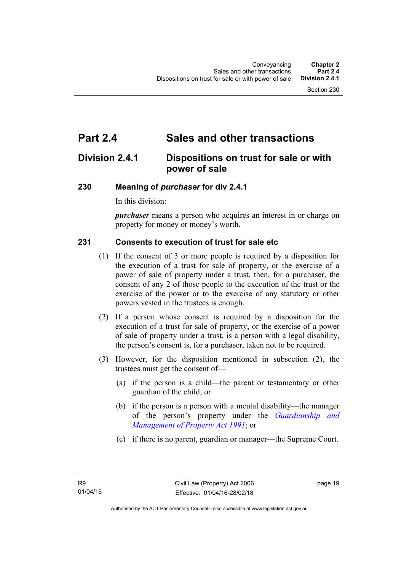# <span id="page-28-0"></span>**Part 2.4 Sales and other transactions**

### <span id="page-28-1"></span>**Division 2.4.1 Dispositions on trust for sale or with power of sale**

#### <span id="page-28-2"></span>**230 Meaning of** *purchaser* **for div 2.4.1**

In this division:

*purchaser* means a person who acquires an interest in or charge on property for money or money's worth.

#### <span id="page-28-3"></span>**231 Consents to execution of trust for sale etc**

- (1) If the consent of 3 or more people is required by a disposition for the execution of a trust for sale of property, or the exercise of a power of sale of property under a trust, then, for a purchaser, the consent of any 2 of those people to the execution of the trust or the exercise of the power or to the exercise of any statutory or other powers vested in the trustees is enough.
- (2) If a person whose consent is required by a disposition for the execution of a trust for sale of property, or the exercise of a power of sale of property under a trust, is a person with a legal disability, the person's consent is, for a purchaser, taken not to be required.
- (3) However, for the disposition mentioned in subsection (2), the trustees must get the consent of—
	- (a) if the person is a child—the parent or testamentary or other guardian of the child; or
	- (b) if the person is a person with a mental disability—the manager of the person's property under the *[Guardianship and](http://www.legislation.act.gov.au/a/1991-62)  [Management of Property Act 1991](http://www.legislation.act.gov.au/a/1991-62)*; or
	- (c) if there is no parent, guardian or manager—the Supreme Court.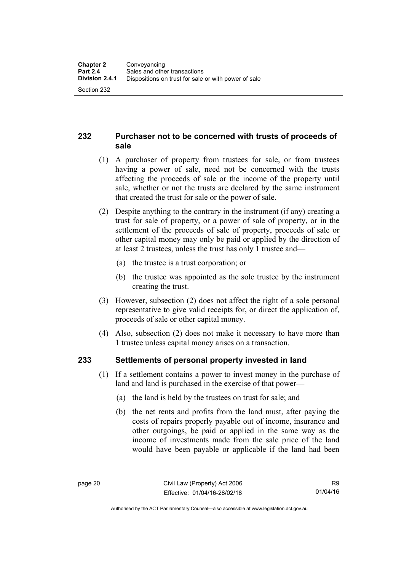#### <span id="page-29-0"></span>**232 Purchaser not to be concerned with trusts of proceeds of sale**

- (1) A purchaser of property from trustees for sale, or from trustees having a power of sale, need not be concerned with the trusts affecting the proceeds of sale or the income of the property until sale, whether or not the trusts are declared by the same instrument that created the trust for sale or the power of sale.
- (2) Despite anything to the contrary in the instrument (if any) creating a trust for sale of property, or a power of sale of property, or in the settlement of the proceeds of sale of property, proceeds of sale or other capital money may only be paid or applied by the direction of at least 2 trustees, unless the trust has only 1 trustee and—
	- (a) the trustee is a trust corporation; or
	- (b) the trustee was appointed as the sole trustee by the instrument creating the trust.
- (3) However, subsection (2) does not affect the right of a sole personal representative to give valid receipts for, or direct the application of, proceeds of sale or other capital money.
- (4) Also, subsection (2) does not make it necessary to have more than 1 trustee unless capital money arises on a transaction.

### <span id="page-29-1"></span>**233 Settlements of personal property invested in land**

- (1) If a settlement contains a power to invest money in the purchase of land and land is purchased in the exercise of that power—
	- (a) the land is held by the trustees on trust for sale; and
	- (b) the net rents and profits from the land must, after paying the costs of repairs properly payable out of income, insurance and other outgoings, be paid or applied in the same way as the income of investments made from the sale price of the land would have been payable or applicable if the land had been

Authorised by the ACT Parliamentary Counsel—also accessible at www.legislation.act.gov.au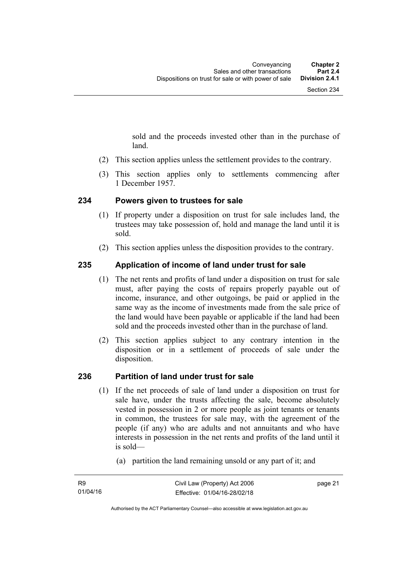sold and the proceeds invested other than in the purchase of land.

- (2) This section applies unless the settlement provides to the contrary.
- (3) This section applies only to settlements commencing after 1 December 1957.

#### <span id="page-30-0"></span>**234 Powers given to trustees for sale**

- (1) If property under a disposition on trust for sale includes land, the trustees may take possession of, hold and manage the land until it is sold.
- (2) This section applies unless the disposition provides to the contrary.

#### <span id="page-30-1"></span>**235 Application of income of land under trust for sale**

- (1) The net rents and profits of land under a disposition on trust for sale must, after paying the costs of repairs properly payable out of income, insurance, and other outgoings, be paid or applied in the same way as the income of investments made from the sale price of the land would have been payable or applicable if the land had been sold and the proceeds invested other than in the purchase of land.
- (2) This section applies subject to any contrary intention in the disposition or in a settlement of proceeds of sale under the disposition.

#### <span id="page-30-2"></span>**236 Partition of land under trust for sale**

- (1) If the net proceeds of sale of land under a disposition on trust for sale have, under the trusts affecting the sale, become absolutely vested in possession in 2 or more people as joint tenants or tenants in common, the trustees for sale may, with the agreement of the people (if any) who are adults and not annuitants and who have interests in possession in the net rents and profits of the land until it is sold—
	- (a) partition the land remaining unsold or any part of it; and

page 21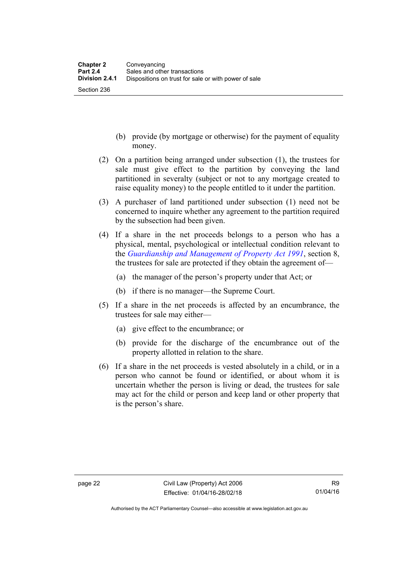- (b) provide (by mortgage or otherwise) for the payment of equality money.
- (2) On a partition being arranged under subsection (1), the trustees for sale must give effect to the partition by conveying the land partitioned in severalty (subject or not to any mortgage created to raise equality money) to the people entitled to it under the partition.
- (3) A purchaser of land partitioned under subsection (1) need not be concerned to inquire whether any agreement to the partition required by the subsection had been given.
- (4) If a share in the net proceeds belongs to a person who has a physical, mental, psychological or intellectual condition relevant to the *[Guardianship and Management of Property Act 1991](http://www.legislation.act.gov.au/a/1991-62)*, section 8, the trustees for sale are protected if they obtain the agreement of—
	- (a) the manager of the person's property under that Act; or
	- (b) if there is no manager—the Supreme Court.
- (5) If a share in the net proceeds is affected by an encumbrance, the trustees for sale may either—
	- (a) give effect to the encumbrance; or
	- (b) provide for the discharge of the encumbrance out of the property allotted in relation to the share.
- (6) If a share in the net proceeds is vested absolutely in a child, or in a person who cannot be found or identified, or about whom it is uncertain whether the person is living or dead, the trustees for sale may act for the child or person and keep land or other property that is the person's share.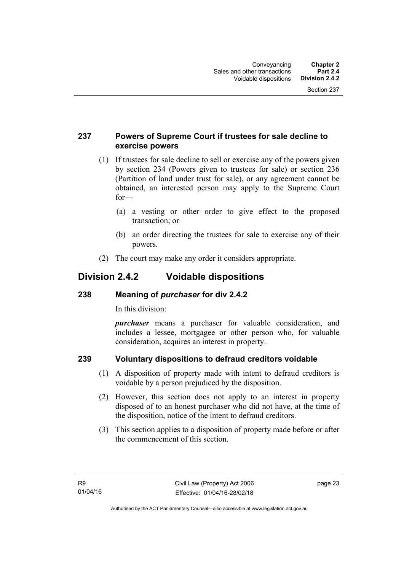#### <span id="page-32-0"></span>**237 Powers of Supreme Court if trustees for sale decline to exercise powers**

- (1) If trustees for sale decline to sell or exercise any of the powers given by section 234 (Powers given to trustees for sale) or section 236 (Partition of land under trust for sale), or any agreement cannot be obtained, an interested person may apply to the Supreme Court for—
	- (a) a vesting or other order to give effect to the proposed transaction; or
	- (b) an order directing the trustees for sale to exercise any of their powers.
- (2) The court may make any order it considers appropriate.

### <span id="page-32-1"></span>**Division 2.4.2 Voidable dispositions**

#### <span id="page-32-2"></span>**238 Meaning of** *purchaser* **for div 2.4.2**

In this division:

*purchaser* means a purchaser for valuable consideration, and includes a lessee, mortgagee or other person who, for valuable consideration, acquires an interest in property.

### <span id="page-32-3"></span>**239 Voluntary dispositions to defraud creditors voidable**

- (1) A disposition of property made with intent to defraud creditors is voidable by a person prejudiced by the disposition.
- (2) However, this section does not apply to an interest in property disposed of to an honest purchaser who did not have, at the time of the disposition, notice of the intent to defraud creditors.
- (3) This section applies to a disposition of property made before or after the commencement of this section.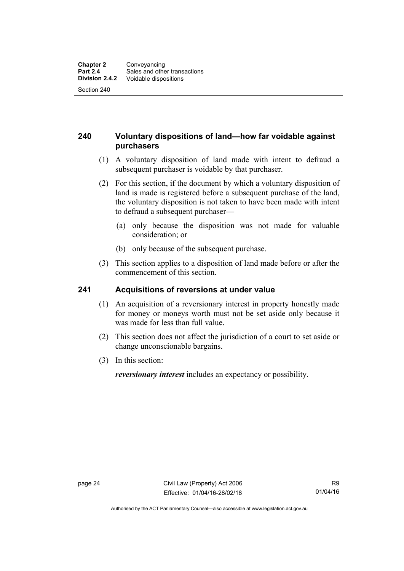#### <span id="page-33-0"></span>**240 Voluntary dispositions of land—how far voidable against purchasers**

- (1) A voluntary disposition of land made with intent to defraud a subsequent purchaser is voidable by that purchaser.
- (2) For this section, if the document by which a voluntary disposition of land is made is registered before a subsequent purchase of the land, the voluntary disposition is not taken to have been made with intent to defraud a subsequent purchaser—
	- (a) only because the disposition was not made for valuable consideration; or
	- (b) only because of the subsequent purchase.
- (3) This section applies to a disposition of land made before or after the commencement of this section.

#### <span id="page-33-1"></span>**241 Acquisitions of reversions at under value**

- (1) An acquisition of a reversionary interest in property honestly made for money or moneys worth must not be set aside only because it was made for less than full value.
- (2) This section does not affect the jurisdiction of a court to set aside or change unconscionable bargains.
- (3) In this section:

*reversionary interest* includes an expectancy or possibility.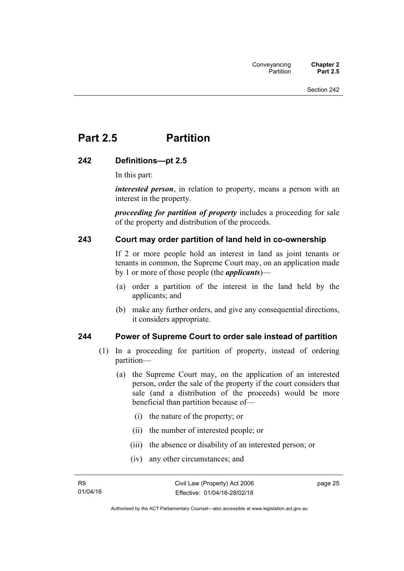## <span id="page-34-0"></span>**Part 2.5 Partition**

#### <span id="page-34-1"></span>**242 Definitions—pt 2.5**

In this part:

*interested person*, in relation to property, means a person with an interest in the property.

*proceeding for partition of property* includes a proceeding for sale of the property and distribution of the proceeds.

#### <span id="page-34-2"></span>**243 Court may order partition of land held in co-ownership**

If 2 or more people hold an interest in land as joint tenants or tenants in common, the Supreme Court may, on an application made by 1 or more of those people (the *applicants*)—

- (a) order a partition of the interest in the land held by the applicants; and
- (b) make any further orders, and give any consequential directions, it considers appropriate.

#### <span id="page-34-3"></span>**244 Power of Supreme Court to order sale instead of partition**

- (1) In a proceeding for partition of property, instead of ordering partition—
	- (a) the Supreme Court may, on the application of an interested person, order the sale of the property if the court considers that sale (and a distribution of the proceeds) would be more beneficial than partition because of—
		- (i) the nature of the property; or
		- (ii) the number of interested people; or
		- (iii) the absence or disability of an interested person; or
		- (iv) any other circumstances; and

page 25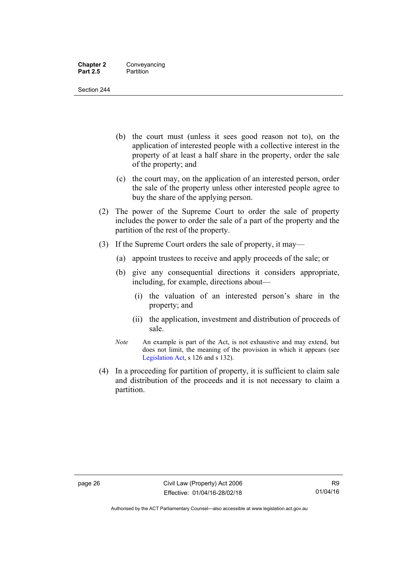Section 244

- (b) the court must (unless it sees good reason not to), on the application of interested people with a collective interest in the property of at least a half share in the property, order the sale of the property; and
- (c) the court may, on the application of an interested person, order the sale of the property unless other interested people agree to buy the share of the applying person.
- (2) The power of the Supreme Court to order the sale of property includes the power to order the sale of a part of the property and the partition of the rest of the property.
- (3) If the Supreme Court orders the sale of property, it may—
	- (a) appoint trustees to receive and apply proceeds of the sale; or
	- (b) give any consequential directions it considers appropriate, including, for example, directions about—
		- (i) the valuation of an interested person's share in the property; and
		- (ii) the application, investment and distribution of proceeds of sale.
	- *Note* An example is part of the Act, is not exhaustive and may extend, but does not limit, the meaning of the provision in which it appears (see [Legislation Act,](http://www.legislation.act.gov.au/a/2001-14) s 126 and s 132).
- (4) In a proceeding for partition of property, it is sufficient to claim sale and distribution of the proceeds and it is not necessary to claim a partition.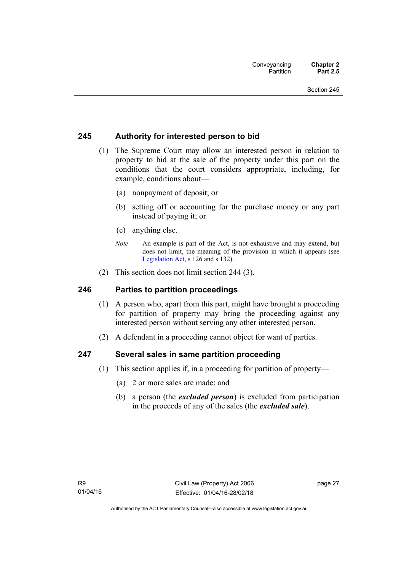### **245 Authority for interested person to bid**

- (1) The Supreme Court may allow an interested person in relation to property to bid at the sale of the property under this part on the conditions that the court considers appropriate, including, for example, conditions about—
	- (a) nonpayment of deposit; or
	- (b) setting off or accounting for the purchase money or any part instead of paying it; or
	- (c) anything else.
	- *Note* An example is part of the Act, is not exhaustive and may extend, but does not limit, the meaning of the provision in which it appears (see [Legislation Act,](http://www.legislation.act.gov.au/a/2001-14) s 126 and s 132).
- (2) This section does not limit section 244 (3).

#### **246 Parties to partition proceedings**

- (1) A person who, apart from this part, might have brought a proceeding for partition of property may bring the proceeding against any interested person without serving any other interested person.
- (2) A defendant in a proceeding cannot object for want of parties.

#### **247 Several sales in same partition proceeding**

- (1) This section applies if, in a proceeding for partition of property—
	- (a) 2 or more sales are made; and
	- (b) a person (the *excluded person*) is excluded from participation in the proceeds of any of the sales (the *excluded sale*).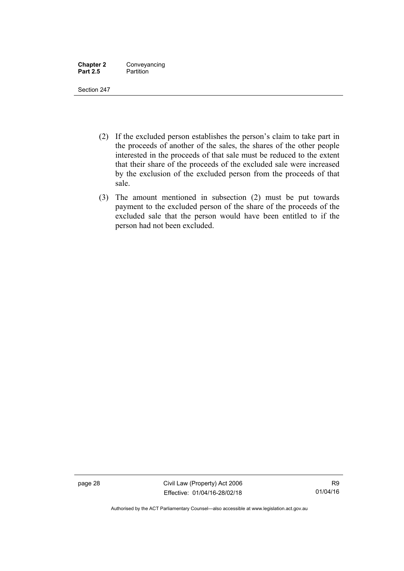| <b>Chapter 2</b> | Conveyancing |
|------------------|--------------|
| <b>Part 2.5</b>  | Partition    |

- (2) If the excluded person establishes the person's claim to take part in the proceeds of another of the sales, the shares of the other people interested in the proceeds of that sale must be reduced to the extent that their share of the proceeds of the excluded sale were increased by the exclusion of the excluded person from the proceeds of that sale.
- (3) The amount mentioned in subsection (2) must be put towards payment to the excluded person of the share of the proceeds of the excluded sale that the person would have been entitled to if the person had not been excluded.

page 28 Civil Law (Property) Act 2006 Effective: 01/04/16-28/02/18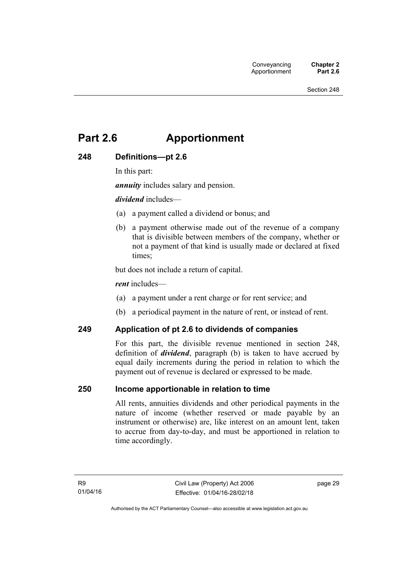# **Part 2.6 Apportionment**

# **248 Definitions—pt 2.6**

In this part:

*annuity* includes salary and pension.

*dividend* includes—

- (a) a payment called a dividend or bonus; and
- (b) a payment otherwise made out of the revenue of a company that is divisible between members of the company, whether or not a payment of that kind is usually made or declared at fixed times;

but does not include a return of capital.

*rent* includes—

- (a) a payment under a rent charge or for rent service; and
- (b) a periodical payment in the nature of rent, or instead of rent.

#### **249 Application of pt 2.6 to dividends of companies**

For this part, the divisible revenue mentioned in section 248, definition of *dividend*, paragraph (b) is taken to have accrued by equal daily increments during the period in relation to which the payment out of revenue is declared or expressed to be made.

#### **250 Income apportionable in relation to time**

All rents, annuities dividends and other periodical payments in the nature of income (whether reserved or made payable by an instrument or otherwise) are, like interest on an amount lent, taken to accrue from day-to-day, and must be apportioned in relation to time accordingly.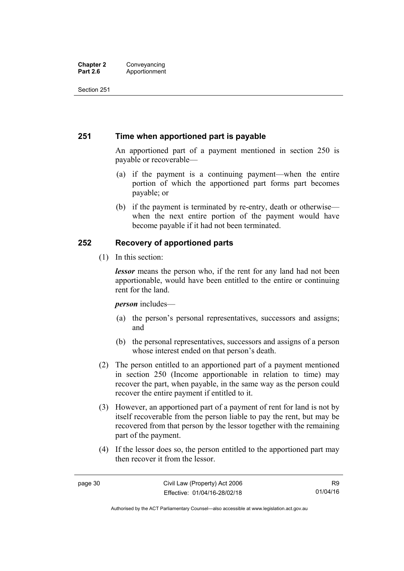### **251 Time when apportioned part is payable**

An apportioned part of a payment mentioned in section 250 is payable or recoverable—

- (a) if the payment is a continuing payment—when the entire portion of which the apportioned part forms part becomes payable; or
- (b) if the payment is terminated by re-entry, death or otherwise when the next entire portion of the payment would have become payable if it had not been terminated.

# **252 Recovery of apportioned parts**

(1) In this section:

*lessor* means the person who, if the rent for any land had not been apportionable, would have been entitled to the entire or continuing rent for the land.

*person* includes—

- (a) the person's personal representatives, successors and assigns; and
- (b) the personal representatives, successors and assigns of a person whose interest ended on that person's death.
- (2) The person entitled to an apportioned part of a payment mentioned in section 250 (Income apportionable in relation to time) may recover the part, when payable, in the same way as the person could recover the entire payment if entitled to it.
- (3) However, an apportioned part of a payment of rent for land is not by itself recoverable from the person liable to pay the rent, but may be recovered from that person by the lessor together with the remaining part of the payment.
- (4) If the lessor does so, the person entitled to the apportioned part may then recover it from the lessor.

Authorised by the ACT Parliamentary Counsel—also accessible at www.legislation.act.gov.au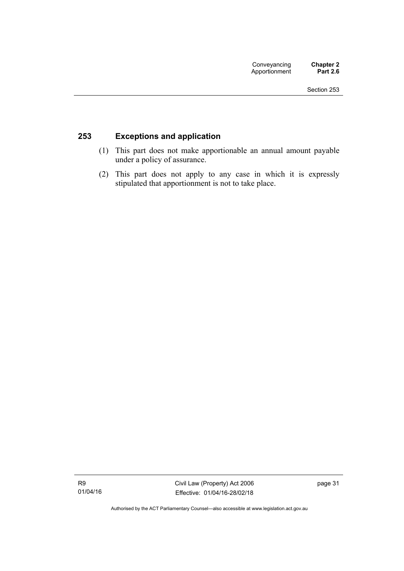# **253 Exceptions and application**

- (1) This part does not make apportionable an annual amount payable under a policy of assurance.
- (2) This part does not apply to any case in which it is expressly stipulated that apportionment is not to take place.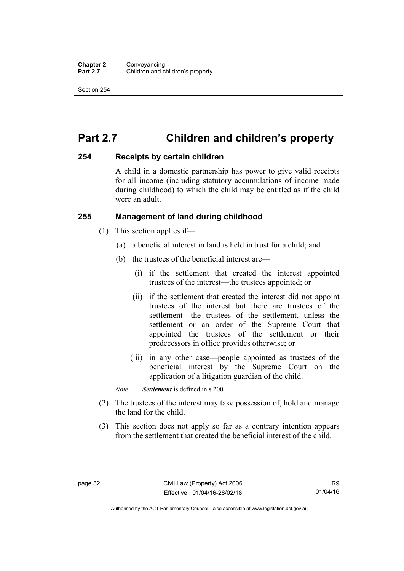# **Part 2.7 Children and children's property**

#### **254 Receipts by certain children**

A child in a domestic partnership has power to give valid receipts for all income (including statutory accumulations of income made during childhood) to which the child may be entitled as if the child were an adult.

### **255 Management of land during childhood**

- (1) This section applies if—
	- (a) a beneficial interest in land is held in trust for a child; and
	- (b) the trustees of the beneficial interest are—
		- (i) if the settlement that created the interest appointed trustees of the interest—the trustees appointed; or
		- (ii) if the settlement that created the interest did not appoint trustees of the interest but there are trustees of the settlement—the trustees of the settlement, unless the settlement or an order of the Supreme Court that appointed the trustees of the settlement or their predecessors in office provides otherwise; or
		- (iii) in any other case—people appointed as trustees of the beneficial interest by the Supreme Court on the application of a litigation guardian of the child.

*Note Settlement* is defined in s 200.

- (2) The trustees of the interest may take possession of, hold and manage the land for the child.
- (3) This section does not apply so far as a contrary intention appears from the settlement that created the beneficial interest of the child.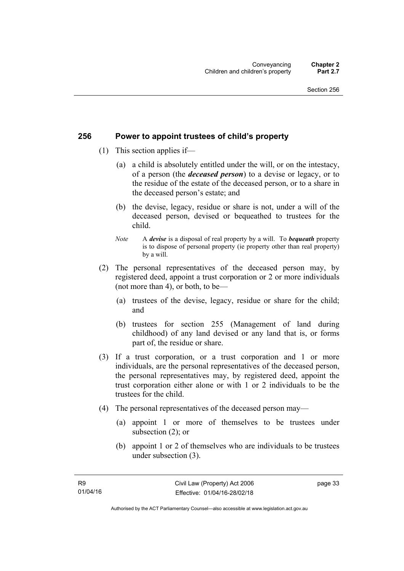### **256 Power to appoint trustees of child's property**

- (1) This section applies if—
	- (a) a child is absolutely entitled under the will, or on the intestacy, of a person (the *deceased person*) to a devise or legacy, or to the residue of the estate of the deceased person, or to a share in the deceased person's estate; and
	- (b) the devise, legacy, residue or share is not, under a will of the deceased person, devised or bequeathed to trustees for the child.
	- *Note* A *devise* is a disposal of real property by a will. To *bequeath* property is to dispose of personal property (ie property other than real property) by a will.
- (2) The personal representatives of the deceased person may, by registered deed, appoint a trust corporation or 2 or more individuals (not more than 4), or both, to be—
	- (a) trustees of the devise, legacy, residue or share for the child; and
	- (b) trustees for section 255 (Management of land during childhood) of any land devised or any land that is, or forms part of, the residue or share.
- (3) If a trust corporation, or a trust corporation and 1 or more individuals, are the personal representatives of the deceased person, the personal representatives may, by registered deed, appoint the trust corporation either alone or with 1 or 2 individuals to be the trustees for the child.
- (4) The personal representatives of the deceased person may—
	- (a) appoint 1 or more of themselves to be trustees under subsection (2); or
	- (b) appoint 1 or 2 of themselves who are individuals to be trustees under subsection (3).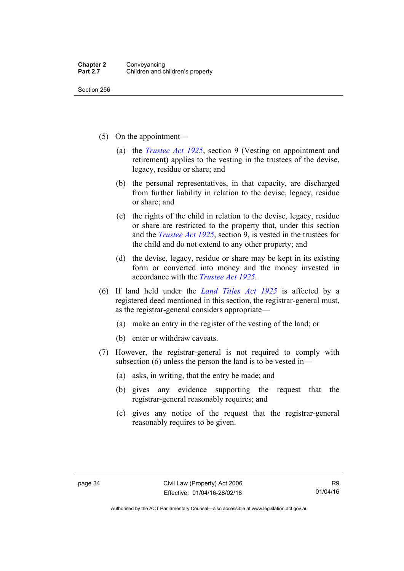- (5) On the appointment—
	- (a) the *[Trustee Act 1925](http://www.legislation.act.gov.au/a/1925-14)*, section 9 (Vesting on appointment and retirement) applies to the vesting in the trustees of the devise, legacy, residue or share; and
	- (b) the personal representatives, in that capacity, are discharged from further liability in relation to the devise, legacy, residue or share; and
	- (c) the rights of the child in relation to the devise, legacy, residue or share are restricted to the property that, under this section and the *[Trustee Act 1925](http://www.legislation.act.gov.au/a/1925-14)*, section 9, is vested in the trustees for the child and do not extend to any other property; and
	- (d) the devise, legacy, residue or share may be kept in its existing form or converted into money and the money invested in accordance with the *[Trustee Act 1925](http://www.legislation.act.gov.au/a/1925-14)*.
- (6) If land held under the *[Land Titles Act 1925](http://www.legislation.act.gov.au/a/1925-1)* is affected by a registered deed mentioned in this section, the registrar-general must, as the registrar-general considers appropriate—
	- (a) make an entry in the register of the vesting of the land; or
	- (b) enter or withdraw caveats.
- (7) However, the registrar-general is not required to comply with subsection (6) unless the person the land is to be vested in—
	- (a) asks, in writing, that the entry be made; and
	- (b) gives any evidence supporting the request that the registrar-general reasonably requires; and
	- (c) gives any notice of the request that the registrar-general reasonably requires to be given.

Authorised by the ACT Parliamentary Counsel—also accessible at www.legislation.act.gov.au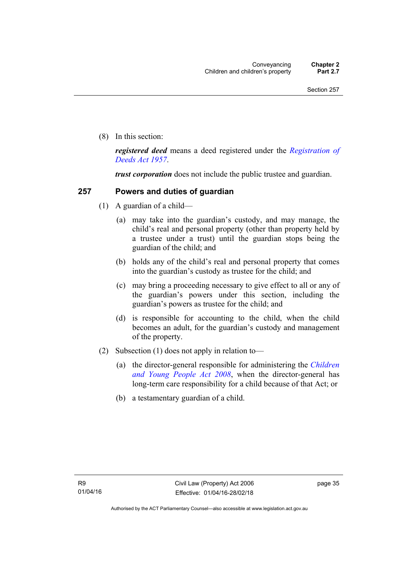(8) In this section:

*registered deed* means a deed registered under the *[Registration of](http://www.legislation.act.gov.au/a/1957-13)  [Deeds Act 1957](http://www.legislation.act.gov.au/a/1957-13)*.

*trust corporation* does not include the public trustee and guardian.

### **257 Powers and duties of guardian**

- (1) A guardian of a child—
	- (a) may take into the guardian's custody, and may manage, the child's real and personal property (other than property held by a trustee under a trust) until the guardian stops being the guardian of the child; and
	- (b) holds any of the child's real and personal property that comes into the guardian's custody as trustee for the child; and
	- (c) may bring a proceeding necessary to give effect to all or any of the guardian's powers under this section, including the guardian's powers as trustee for the child; and
	- (d) is responsible for accounting to the child, when the child becomes an adult, for the guardian's custody and management of the property.
- (2) Subsection (1) does not apply in relation to—
	- (a) the director-general responsible for administering the *[Children](http://www.legislation.act.gov.au/a/2008-19)  [and Young People Act 2008](http://www.legislation.act.gov.au/a/2008-19)*, when the director-general has long-term care responsibility for a child because of that Act; or
	- (b) a testamentary guardian of a child.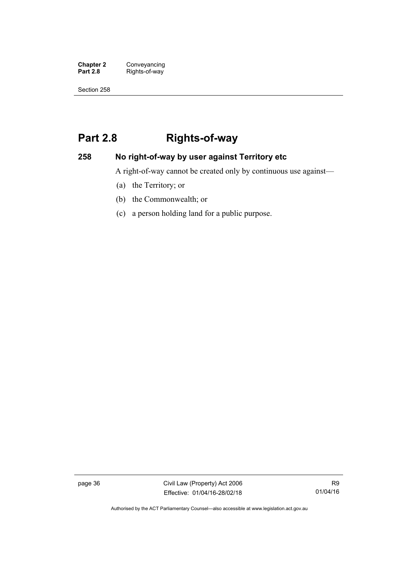**Chapter 2 Conveyancing**<br>**Part 2.8 Rights-of-way** Rights-of-way

Section 258

# **Part 2.8 Rights-of-way**

# **258 No right-of-way by user against Territory etc**

A right-of-way cannot be created only by continuous use against—

- (a) the Territory; or
- (b) the Commonwealth; or
- (c) a person holding land for a public purpose.

page 36 Civil Law (Property) Act 2006 Effective: 01/04/16-28/02/18

Authorised by the ACT Parliamentary Counsel—also accessible at www.legislation.act.gov.au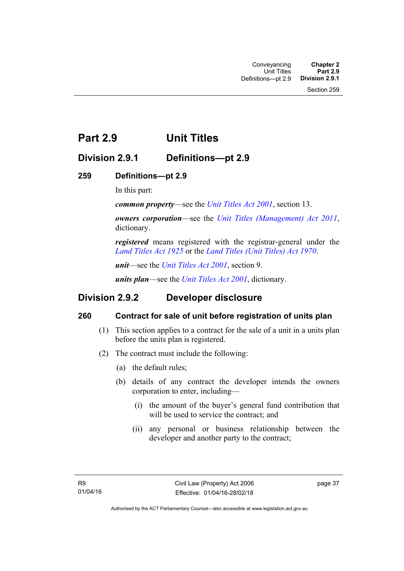# **Part 2.9 Unit Titles**

# **Division 2.9.1 Definitions—pt 2.9**

# **259 Definitions—pt 2.9**

In this part:

*common property*—see the *[Unit Titles Act 2001](http://www.legislation.act.gov.au/a/2001-16)*, section 13.

*owners corporation*—see the *[Unit Titles \(Management\) Act 2011](http://www.legislation.act.gov.au/a/2011-41)*, dictionary.

*registered* means registered with the registrar-general under the *[Land Titles Act 1925](http://www.legislation.act.gov.au/a/1925-1)* or the *[Land Titles \(Unit Titles\) Act 1970](http://www.legislation.act.gov.au/a/1970-32)*.

*unit*—see the *[Unit Titles Act 2001](http://www.legislation.act.gov.au/a/2001-16)*, section 9.

*units plan*—see the *[Unit Titles Act 2001](http://www.legislation.act.gov.au/a/2001-16)*, dictionary.

# **Division 2.9.2 Developer disclosure**

# **260 Contract for sale of unit before registration of units plan**

- (1) This section applies to a contract for the sale of a unit in a units plan before the units plan is registered.
- (2) The contract must include the following:
	- (a) the default rules;
	- (b) details of any contract the developer intends the owners corporation to enter, including—
		- (i) the amount of the buyer's general fund contribution that will be used to service the contract; and
		- (ii) any personal or business relationship between the developer and another party to the contract;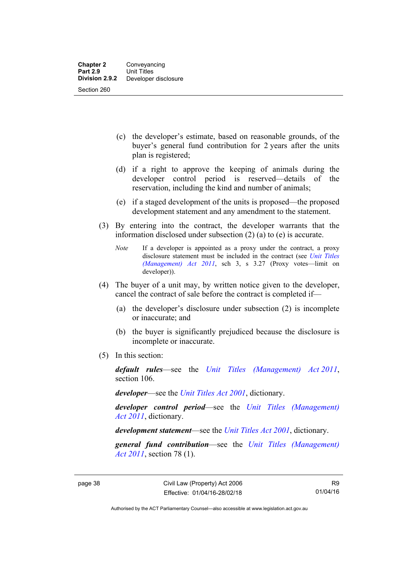- (c) the developer's estimate, based on reasonable grounds, of the buyer's general fund contribution for 2 years after the units plan is registered;
- (d) if a right to approve the keeping of animals during the developer control period is reserved—details of the reservation, including the kind and number of animals;
- (e) if a staged development of the units is proposed—the proposed development statement and any amendment to the statement.
- (3) By entering into the contract, the developer warrants that the information disclosed under subsection (2) (a) to (e) is accurate.
	- *Note* If a developer is appointed as a proxy under the contract, a proxy disclosure statement must be included in the contract (see *[Unit Titles](http://www.legislation.act.gov.au/a/2011-41)  [\(Management\) Act 2011](http://www.legislation.act.gov.au/a/2011-41)*, sch 3, s 3.27 (Proxy votes—limit on developer)).
- (4) The buyer of a unit may, by written notice given to the developer, cancel the contract of sale before the contract is completed if—
	- (a) the developer's disclosure under subsection (2) is incomplete or inaccurate; and
	- (b) the buyer is significantly prejudiced because the disclosure is incomplete or inaccurate.
- (5) In this section:

*default rules*—see the *[Unit Titles \(Management\) Act 2011](http://www.legislation.act.gov.au/a/2011-41)*, section 106.

*developer*—see the *[Unit Titles Act 2001](http://www.legislation.act.gov.au/a/2001-16)*, dictionary.

*developer control period*—see the *[Unit Titles \(Management\)](http://www.legislation.act.gov.au/a/2011-41)  [Act 2011](http://www.legislation.act.gov.au/a/2011-41)*, dictionary.

*development statement*—see the *[Unit Titles Act 2001](http://www.legislation.act.gov.au/a/2001-16)*, dictionary.

*general fund contribution*—see the *[Unit Titles \(Management\)](http://www.legislation.act.gov.au/a/2011-41)  [Act 2011](http://www.legislation.act.gov.au/a/2011-41)*, section 78 (1).

R9 01/04/16

Authorised by the ACT Parliamentary Counsel—also accessible at www.legislation.act.gov.au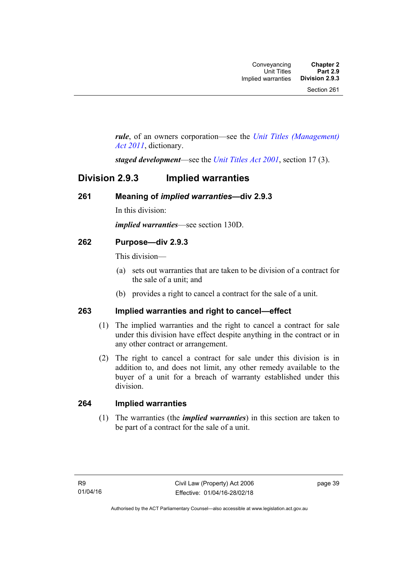*rule*, of an owners corporation—see the *[Unit Titles \(Management\)](http://www.legislation.act.gov.au/a/2011-41)  [Act 2011](http://www.legislation.act.gov.au/a/2011-41)*, dictionary.

*staged development*—see the *[Unit Titles Act 2001](http://www.legislation.act.gov.au/a/2001-16)*, section 17 (3).

# **Division 2.9.3 Implied warranties**

# **261 Meaning of** *implied warranties***—div 2.9.3**

In this division:

*implied warranties*—see section 130D.

# **262 Purpose—div 2.9.3**

This division—

- (a) sets out warranties that are taken to be division of a contract for the sale of a unit; and
- (b) provides a right to cancel a contract for the sale of a unit.

# **263 Implied warranties and right to cancel—effect**

- (1) The implied warranties and the right to cancel a contract for sale under this division have effect despite anything in the contract or in any other contract or arrangement.
- (2) The right to cancel a contract for sale under this division is in addition to, and does not limit, any other remedy available to the buyer of a unit for a breach of warranty established under this division.

# **264 Implied warranties**

(1) The warranties (the *implied warranties*) in this section are taken to be part of a contract for the sale of a unit.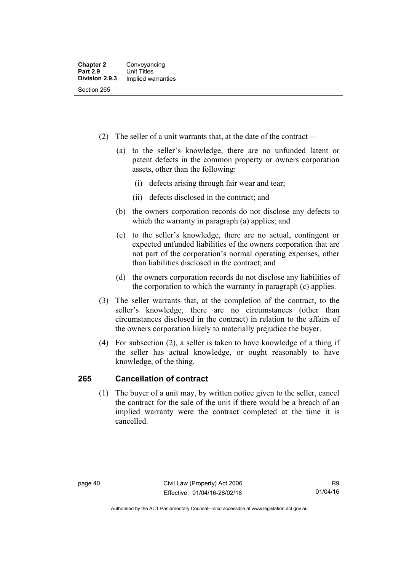- (2) The seller of a unit warrants that, at the date of the contract—
	- (a) to the seller's knowledge, there are no unfunded latent or patent defects in the common property or owners corporation assets, other than the following:
		- (i) defects arising through fair wear and tear;
		- (ii) defects disclosed in the contract; and
	- (b) the owners corporation records do not disclose any defects to which the warranty in paragraph (a) applies; and
	- (c) to the seller's knowledge, there are no actual, contingent or expected unfunded liabilities of the owners corporation that are not part of the corporation's normal operating expenses, other than liabilities disclosed in the contract; and
	- (d) the owners corporation records do not disclose any liabilities of the corporation to which the warranty in paragraph (c) applies.
- (3) The seller warrants that, at the completion of the contract, to the seller's knowledge, there are no circumstances (other than circumstances disclosed in the contract) in relation to the affairs of the owners corporation likely to materially prejudice the buyer.
- (4) For subsection (2), a seller is taken to have knowledge of a thing if the seller has actual knowledge, or ought reasonably to have knowledge, of the thing.

# **265 Cancellation of contract**

(1) The buyer of a unit may, by written notice given to the seller, cancel the contract for the sale of the unit if there would be a breach of an implied warranty were the contract completed at the time it is cancelled.

Authorised by the ACT Parliamentary Counsel—also accessible at www.legislation.act.gov.au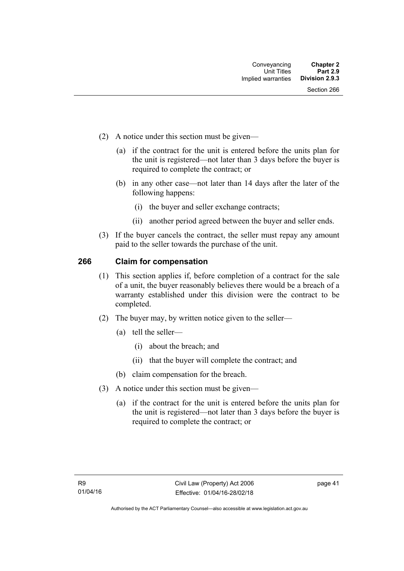- (2) A notice under this section must be given—
	- (a) if the contract for the unit is entered before the units plan for the unit is registered—not later than 3 days before the buyer is required to complete the contract; or
	- (b) in any other case—not later than 14 days after the later of the following happens:
		- (i) the buyer and seller exchange contracts;
		- (ii) another period agreed between the buyer and seller ends.
- (3) If the buyer cancels the contract, the seller must repay any amount paid to the seller towards the purchase of the unit.

### **266 Claim for compensation**

- (1) This section applies if, before completion of a contract for the sale of a unit, the buyer reasonably believes there would be a breach of a warranty established under this division were the contract to be completed.
- (2) The buyer may, by written notice given to the seller—
	- (a) tell the seller—
		- (i) about the breach; and
		- (ii) that the buyer will complete the contract; and
	- (b) claim compensation for the breach.
- (3) A notice under this section must be given—
	- (a) if the contract for the unit is entered before the units plan for the unit is registered—not later than 3 days before the buyer is required to complete the contract; or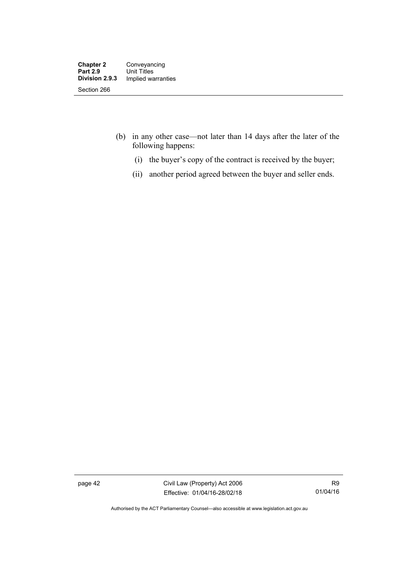- (b) in any other case—not later than 14 days after the later of the following happens:
	- (i) the buyer's copy of the contract is received by the buyer;
	- (ii) another period agreed between the buyer and seller ends.

page 42 Civil Law (Property) Act 2006 Effective: 01/04/16-28/02/18

Authorised by the ACT Parliamentary Counsel—also accessible at www.legislation.act.gov.au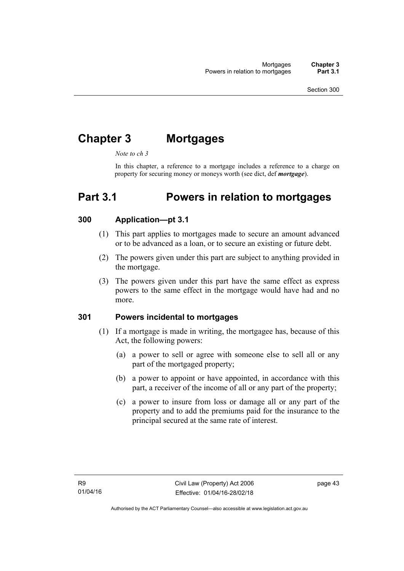# **Chapter 3 Mortgages**

*Note to ch 3* 

In this chapter, a reference to a mortgage includes a reference to a charge on property for securing money or moneys worth (see dict, def *mortgage*).

# **Part 3.1 Powers in relation to mortgages**

### **300 Application—pt 3.1**

- (1) This part applies to mortgages made to secure an amount advanced or to be advanced as a loan, or to secure an existing or future debt.
- (2) The powers given under this part are subject to anything provided in the mortgage.
- (3) The powers given under this part have the same effect as express powers to the same effect in the mortgage would have had and no more.

#### **301 Powers incidental to mortgages**

- (1) If a mortgage is made in writing, the mortgagee has, because of this Act, the following powers:
	- (a) a power to sell or agree with someone else to sell all or any part of the mortgaged property;
	- (b) a power to appoint or have appointed, in accordance with this part, a receiver of the income of all or any part of the property;
	- (c) a power to insure from loss or damage all or any part of the property and to add the premiums paid for the insurance to the principal secured at the same rate of interest.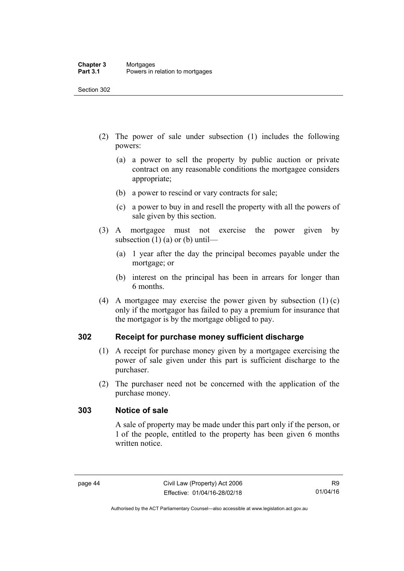- (2) The power of sale under subsection (1) includes the following powers:
	- (a) a power to sell the property by public auction or private contract on any reasonable conditions the mortgagee considers appropriate;
	- (b) a power to rescind or vary contracts for sale;
	- (c) a power to buy in and resell the property with all the powers of sale given by this section.
- (3) A mortgagee must not exercise the power given by subsection  $(1)$  (a) or (b) until—
	- (a) 1 year after the day the principal becomes payable under the mortgage; or
	- (b) interest on the principal has been in arrears for longer than 6 months.
- (4) A mortgagee may exercise the power given by subsection (1) (c) only if the mortgagor has failed to pay a premium for insurance that the mortgagor is by the mortgage obliged to pay.

#### **302 Receipt for purchase money sufficient discharge**

- (1) A receipt for purchase money given by a mortgagee exercising the power of sale given under this part is sufficient discharge to the purchaser.
- (2) The purchaser need not be concerned with the application of the purchase money.

#### **303 Notice of sale**

A sale of property may be made under this part only if the person, or 1 of the people, entitled to the property has been given 6 months written notice.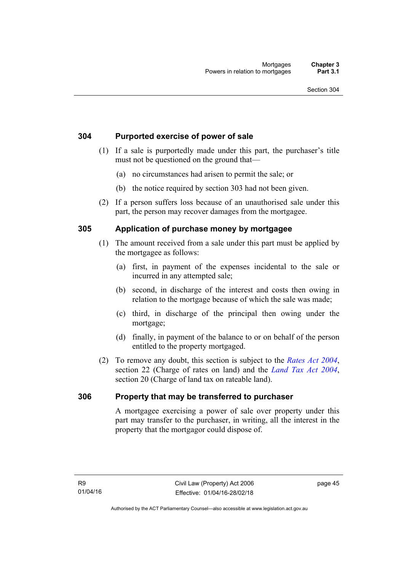### **304 Purported exercise of power of sale**

- (1) If a sale is purportedly made under this part, the purchaser's title must not be questioned on the ground that—
	- (a) no circumstances had arisen to permit the sale; or
	- (b) the notice required by section 303 had not been given.
- (2) If a person suffers loss because of an unauthorised sale under this part, the person may recover damages from the mortgagee.

### **305 Application of purchase money by mortgagee**

- (1) The amount received from a sale under this part must be applied by the mortgagee as follows:
	- (a) first, in payment of the expenses incidental to the sale or incurred in any attempted sale;
	- (b) second, in discharge of the interest and costs then owing in relation to the mortgage because of which the sale was made;
	- (c) third, in discharge of the principal then owing under the mortgage;
	- (d) finally, in payment of the balance to or on behalf of the person entitled to the property mortgaged.
- (2) To remove any doubt, this section is subject to the *[Rates Act 2004](http://www.legislation.act.gov.au/a/2004-3)*, section 22 (Charge of rates on land) and the *[Land Tax Act 2004](http://www.legislation.act.gov.au/a/2004-4)*, section 20 (Charge of land tax on rateable land).

# **306 Property that may be transferred to purchaser**

A mortgagee exercising a power of sale over property under this part may transfer to the purchaser, in writing, all the interest in the property that the mortgagor could dispose of.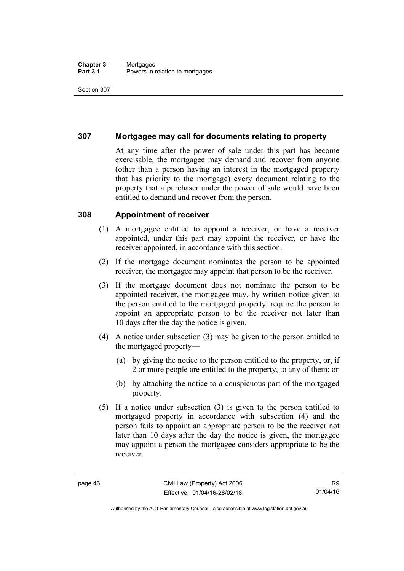#### **Chapter 3** Mortgages<br> **Part 3.1** Powers in i Powers in relation to mortgages

Section 307

### **307 Mortgagee may call for documents relating to property**

At any time after the power of sale under this part has become exercisable, the mortgagee may demand and recover from anyone (other than a person having an interest in the mortgaged property that has priority to the mortgage) every document relating to the property that a purchaser under the power of sale would have been entitled to demand and recover from the person.

#### **308 Appointment of receiver**

- (1) A mortgagee entitled to appoint a receiver, or have a receiver appointed, under this part may appoint the receiver, or have the receiver appointed, in accordance with this section.
- (2) If the mortgage document nominates the person to be appointed receiver, the mortgagee may appoint that person to be the receiver.
- (3) If the mortgage document does not nominate the person to be appointed receiver, the mortgagee may, by written notice given to the person entitled to the mortgaged property, require the person to appoint an appropriate person to be the receiver not later than 10 days after the day the notice is given.
- (4) A notice under subsection (3) may be given to the person entitled to the mortgaged property—
	- (a) by giving the notice to the person entitled to the property, or, if 2 or more people are entitled to the property, to any of them; or
	- (b) by attaching the notice to a conspicuous part of the mortgaged property.
- (5) If a notice under subsection (3) is given to the person entitled to mortgaged property in accordance with subsection (4) and the person fails to appoint an appropriate person to be the receiver not later than 10 days after the day the notice is given, the mortgagee may appoint a person the mortgagee considers appropriate to be the receiver.

Authorised by the ACT Parliamentary Counsel—also accessible at www.legislation.act.gov.au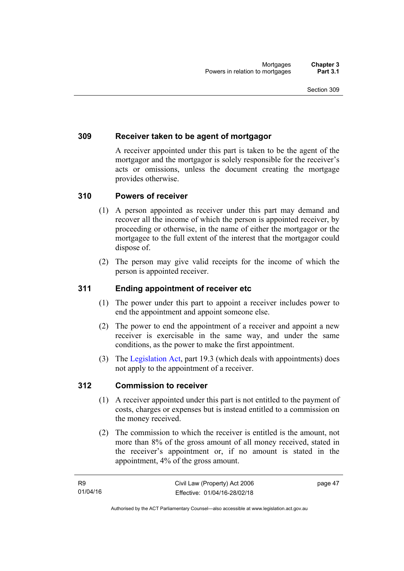### **309 Receiver taken to be agent of mortgagor**

A receiver appointed under this part is taken to be the agent of the mortgagor and the mortgagor is solely responsible for the receiver's acts or omissions, unless the document creating the mortgage provides otherwise.

#### **310 Powers of receiver**

- (1) A person appointed as receiver under this part may demand and recover all the income of which the person is appointed receiver, by proceeding or otherwise, in the name of either the mortgagor or the mortgagee to the full extent of the interest that the mortgagor could dispose of.
- (2) The person may give valid receipts for the income of which the person is appointed receiver.

# **311 Ending appointment of receiver etc**

- (1) The power under this part to appoint a receiver includes power to end the appointment and appoint someone else.
- (2) The power to end the appointment of a receiver and appoint a new receiver is exercisable in the same way, and under the same conditions, as the power to make the first appointment.
- (3) The [Legislation Act](http://www.legislation.act.gov.au/a/2001-14), part 19.3 (which deals with appointments) does not apply to the appointment of a receiver.

#### **312 Commission to receiver**

- (1) A receiver appointed under this part is not entitled to the payment of costs, charges or expenses but is instead entitled to a commission on the money received.
- (2) The commission to which the receiver is entitled is the amount, not more than 8% of the gross amount of all money received, stated in the receiver's appointment or, if no amount is stated in the appointment, 4% of the gross amount.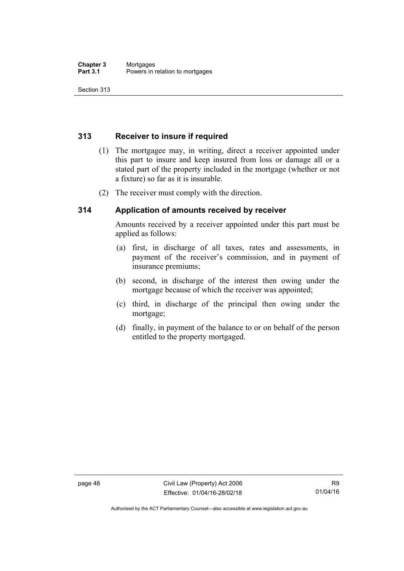# **313 Receiver to insure if required**

- (1) The mortgagee may, in writing, direct a receiver appointed under this part to insure and keep insured from loss or damage all or a stated part of the property included in the mortgage (whether or not a fixture) so far as it is insurable.
- (2) The receiver must comply with the direction.

# **314 Application of amounts received by receiver**

Amounts received by a receiver appointed under this part must be applied as follows:

- (a) first, in discharge of all taxes, rates and assessments, in payment of the receiver's commission, and in payment of insurance premiums;
- (b) second, in discharge of the interest then owing under the mortgage because of which the receiver was appointed;
- (c) third, in discharge of the principal then owing under the mortgage;
- (d) finally, in payment of the balance to or on behalf of the person entitled to the property mortgaged.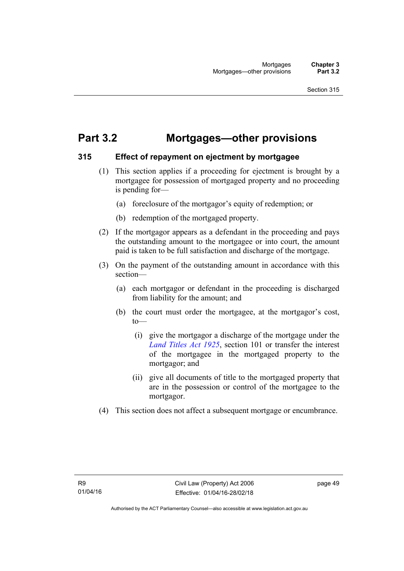# **Part 3.2 Mortgages—other provisions**

### **315 Effect of repayment on ejectment by mortgagee**

- (1) This section applies if a proceeding for ejectment is brought by a mortgagee for possession of mortgaged property and no proceeding is pending for—
	- (a) foreclosure of the mortgagor's equity of redemption; or
	- (b) redemption of the mortgaged property.
- (2) If the mortgagor appears as a defendant in the proceeding and pays the outstanding amount to the mortgagee or into court, the amount paid is taken to be full satisfaction and discharge of the mortgage.
- (3) On the payment of the outstanding amount in accordance with this section—
	- (a) each mortgagor or defendant in the proceeding is discharged from liability for the amount; and
	- (b) the court must order the mortgagee, at the mortgagor's cost, to—
		- (i) give the mortgagor a discharge of the mortgage under the *[Land Titles Act 1925](http://www.legislation.act.gov.au/a/1925-1)*, section 101 or transfer the interest of the mortgagee in the mortgaged property to the mortgagor; and
		- (ii) give all documents of title to the mortgaged property that are in the possession or control of the mortgagee to the mortgagor.
- (4) This section does not affect a subsequent mortgage or encumbrance.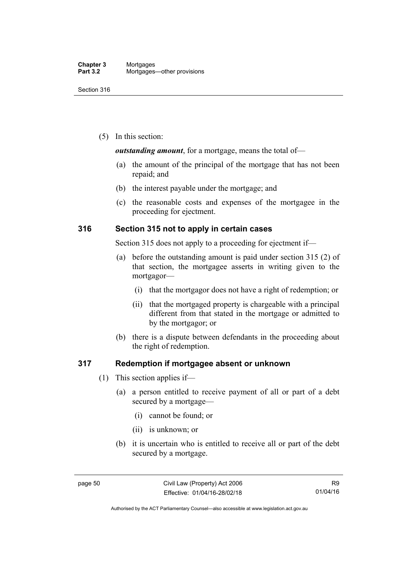(5) In this section:

#### *outstanding amount*, for a mortgage, means the total of—

- (a) the amount of the principal of the mortgage that has not been repaid; and
- (b) the interest payable under the mortgage; and
- (c) the reasonable costs and expenses of the mortgagee in the proceeding for ejectment.

### **316 Section 315 not to apply in certain cases**

Section 315 does not apply to a proceeding for ejectment if—

- (a) before the outstanding amount is paid under section 315 (2) of that section, the mortgagee asserts in writing given to the mortgagor—
	- (i) that the mortgagor does not have a right of redemption; or
	- (ii) that the mortgaged property is chargeable with a principal different from that stated in the mortgage or admitted to by the mortgagor; or
- (b) there is a dispute between defendants in the proceeding about the right of redemption.

#### **317 Redemption if mortgagee absent or unknown**

- (1) This section applies if—
	- (a) a person entitled to receive payment of all or part of a debt secured by a mortgage—
		- (i) cannot be found; or
		- (ii) is unknown; or
	- (b) it is uncertain who is entitled to receive all or part of the debt secured by a mortgage.

Authorised by the ACT Parliamentary Counsel—also accessible at www.legislation.act.gov.au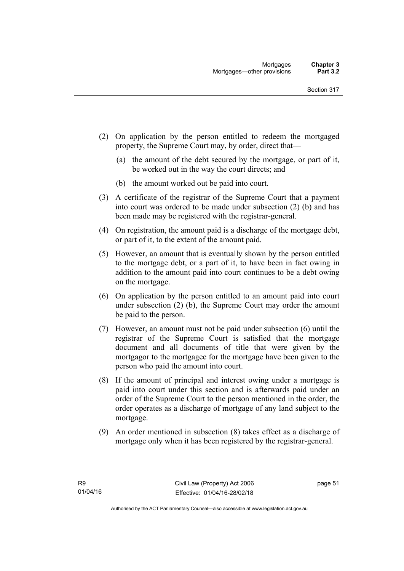- (2) On application by the person entitled to redeem the mortgaged property, the Supreme Court may, by order, direct that—
	- (a) the amount of the debt secured by the mortgage, or part of it, be worked out in the way the court directs; and
	- (b) the amount worked out be paid into court.
- (3) A certificate of the registrar of the Supreme Court that a payment into court was ordered to be made under subsection (2) (b) and has been made may be registered with the registrar-general.
- (4) On registration, the amount paid is a discharge of the mortgage debt, or part of it, to the extent of the amount paid.
- (5) However, an amount that is eventually shown by the person entitled to the mortgage debt, or a part of it, to have been in fact owing in addition to the amount paid into court continues to be a debt owing on the mortgage.
- (6) On application by the person entitled to an amount paid into court under subsection (2) (b), the Supreme Court may order the amount be paid to the person.
- (7) However, an amount must not be paid under subsection (6) until the registrar of the Supreme Court is satisfied that the mortgage document and all documents of title that were given by the mortgagor to the mortgagee for the mortgage have been given to the person who paid the amount into court.
- (8) If the amount of principal and interest owing under a mortgage is paid into court under this section and is afterwards paid under an order of the Supreme Court to the person mentioned in the order, the order operates as a discharge of mortgage of any land subject to the mortgage.
- (9) An order mentioned in subsection (8) takes effect as a discharge of mortgage only when it has been registered by the registrar-general.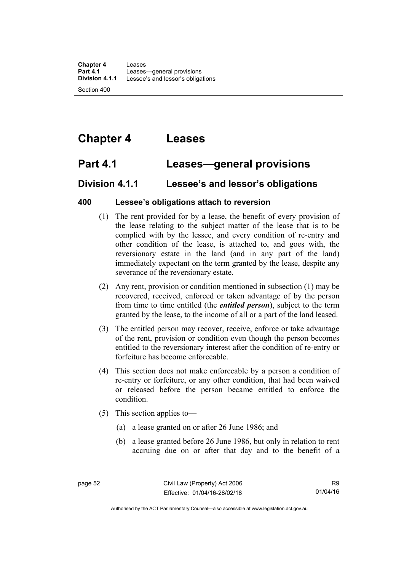**Chapter 4** Leases **Part 4.1 Leases—general provisions**<br>**Division 4.1.1** Lessee's and lessor's obliga Lessee's and lessor's obligations

Section 400

# **Chapter 4 Leases**

# **Part 4.1 Leases—general provisions**

# **Division 4.1.1 Lessee's and lessor's obligations**

# **400 Lessee's obligations attach to reversion**

- (1) The rent provided for by a lease, the benefit of every provision of the lease relating to the subject matter of the lease that is to be complied with by the lessee, and every condition of re-entry and other condition of the lease, is attached to, and goes with, the reversionary estate in the land (and in any part of the land) immediately expectant on the term granted by the lease, despite any severance of the reversionary estate.
- (2) Any rent, provision or condition mentioned in subsection (1) may be recovered, received, enforced or taken advantage of by the person from time to time entitled (the *entitled person*), subject to the term granted by the lease, to the income of all or a part of the land leased.
- (3) The entitled person may recover, receive, enforce or take advantage of the rent, provision or condition even though the person becomes entitled to the reversionary interest after the condition of re-entry or forfeiture has become enforceable.
- (4) This section does not make enforceable by a person a condition of re-entry or forfeiture, or any other condition, that had been waived or released before the person became entitled to enforce the condition.
- (5) This section applies to—
	- (a) a lease granted on or after 26 June 1986; and
	- (b) a lease granted before 26 June 1986, but only in relation to rent accruing due on or after that day and to the benefit of a

Authorised by the ACT Parliamentary Counsel—also accessible at www.legislation.act.gov.au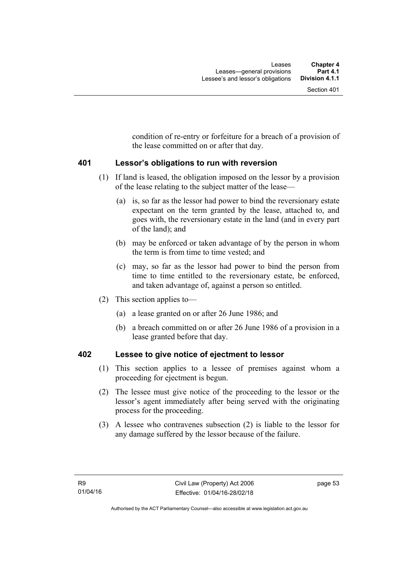condition of re-entry or forfeiture for a breach of a provision of the lease committed on or after that day.

### **401 Lessor's obligations to run with reversion**

- (1) If land is leased, the obligation imposed on the lessor by a provision of the lease relating to the subject matter of the lease—
	- (a) is, so far as the lessor had power to bind the reversionary estate expectant on the term granted by the lease, attached to, and goes with, the reversionary estate in the land (and in every part of the land); and
	- (b) may be enforced or taken advantage of by the person in whom the term is from time to time vested; and
	- (c) may, so far as the lessor had power to bind the person from time to time entitled to the reversionary estate, be enforced, and taken advantage of, against a person so entitled.
- (2) This section applies to—
	- (a) a lease granted on or after 26 June 1986; and
	- (b) a breach committed on or after 26 June 1986 of a provision in a lease granted before that day.

# **402 Lessee to give notice of ejectment to lessor**

- (1) This section applies to a lessee of premises against whom a proceeding for ejectment is begun.
- (2) The lessee must give notice of the proceeding to the lessor or the lessor's agent immediately after being served with the originating process for the proceeding.
- (3) A lessee who contravenes subsection (2) is liable to the lessor for any damage suffered by the lessor because of the failure.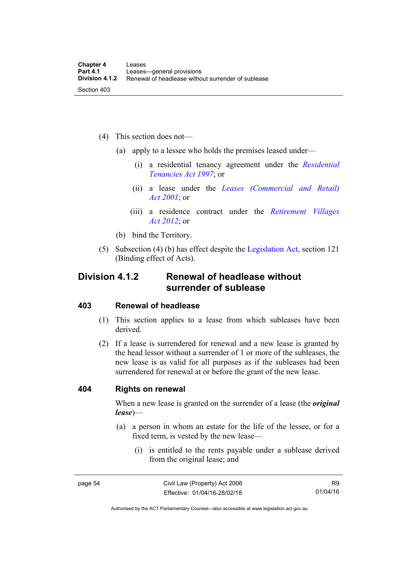- (4) This section does not—
	- (a) apply to a lessee who holds the premises leased under—
		- (i) a residential tenancy agreement under the *[Residential](http://www.legislation.act.gov.au/a/1997-84)  [Tenancies Act 1997](http://www.legislation.act.gov.au/a/1997-84)*; or
		- (ii) a lease under the *[Leases \(Commercial and Retail\)](http://www.legislation.act.gov.au/a/2001-18)  [Act 2001](http://www.legislation.act.gov.au/a/2001-18)*; or
		- (iii) a residence contract under the *[Retirement Villages](http://www.legislation.act.gov.au/a/2012-38)  [Act 2012](http://www.legislation.act.gov.au/a/2012-38)*; or
	- (b) bind the Territory.
- (5) Subsection (4) (b) has effect despite the [Legislation Act](http://www.legislation.act.gov.au/a/2001-14), section 121 (Binding effect of Acts).

# **Division 4.1.2 Renewal of headlease without surrender of sublease**

#### **403 Renewal of headlease**

- (1) This section applies to a lease from which subleases have been derived.
- (2) If a lease is surrendered for renewal and a new lease is granted by the head lessor without a surrender of 1 or more of the subleases, the new lease is as valid for all purposes as if the subleases had been surrendered for renewal at or before the grant of the new lease.

#### **404 Rights on renewal**

When a new lease is granted on the surrender of a lease (the *original lease*)—

- (a) a person in whom an estate for the life of the lessee, or for a fixed term, is vested by the new lease—
	- (i) is entitled to the rents payable under a sublease derived from the original lease; and

R9 01/04/16

Authorised by the ACT Parliamentary Counsel—also accessible at www.legislation.act.gov.au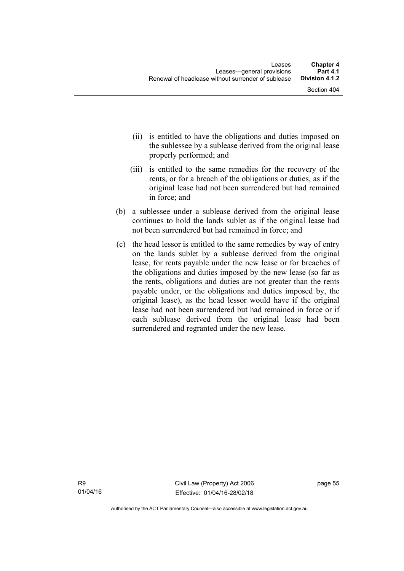- (ii) is entitled to have the obligations and duties imposed on the sublessee by a sublease derived from the original lease properly performed; and
- (iii) is entitled to the same remedies for the recovery of the rents, or for a breach of the obligations or duties, as if the original lease had not been surrendered but had remained in force; and
- (b) a sublessee under a sublease derived from the original lease continues to hold the lands sublet as if the original lease had not been surrendered but had remained in force; and
- (c) the head lessor is entitled to the same remedies by way of entry on the lands sublet by a sublease derived from the original lease, for rents payable under the new lease or for breaches of the obligations and duties imposed by the new lease (so far as the rents, obligations and duties are not greater than the rents payable under, or the obligations and duties imposed by, the original lease), as the head lessor would have if the original lease had not been surrendered but had remained in force or if each sublease derived from the original lease had been surrendered and regranted under the new lease.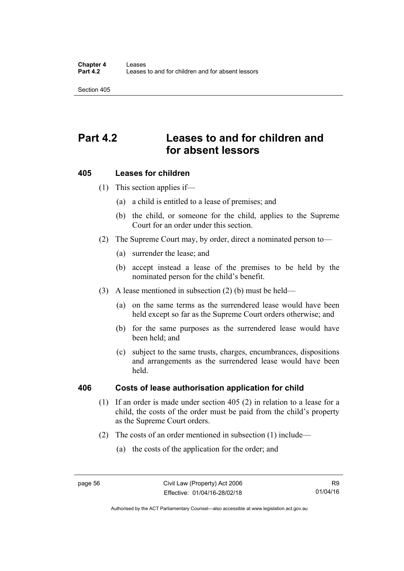# **Part 4.2 Leases to and for children and for absent lessors**

### **405 Leases for children**

(1) This section applies if—

- (a) a child is entitled to a lease of premises; and
- (b) the child, or someone for the child, applies to the Supreme Court for an order under this section.
- (2) The Supreme Court may, by order, direct a nominated person to—
	- (a) surrender the lease; and
	- (b) accept instead a lease of the premises to be held by the nominated person for the child's benefit.
- (3) A lease mentioned in subsection (2) (b) must be held—
	- (a) on the same terms as the surrendered lease would have been held except so far as the Supreme Court orders otherwise; and
	- (b) for the same purposes as the surrendered lease would have been held; and
	- (c) subject to the same trusts, charges, encumbrances, dispositions and arrangements as the surrendered lease would have been held.

#### **406 Costs of lease authorisation application for child**

- (1) If an order is made under section 405 (2) in relation to a lease for a child, the costs of the order must be paid from the child's property as the Supreme Court orders.
- (2) The costs of an order mentioned in subsection (1) include—
	- (a) the costs of the application for the order; and

Authorised by the ACT Parliamentary Counsel—also accessible at www.legislation.act.gov.au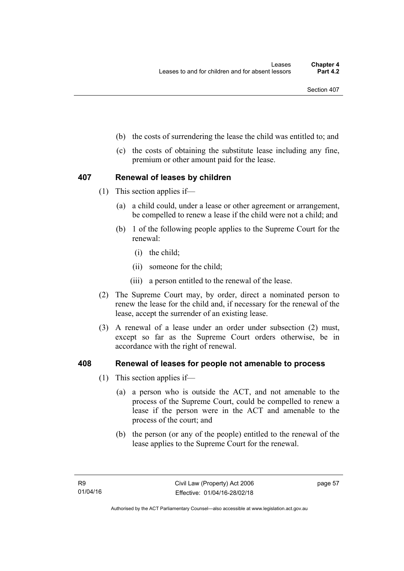- (b) the costs of surrendering the lease the child was entitled to; and
- (c) the costs of obtaining the substitute lease including any fine, premium or other amount paid for the lease.

### **407 Renewal of leases by children**

- (1) This section applies if—
	- (a) a child could, under a lease or other agreement or arrangement, be compelled to renew a lease if the child were not a child; and
	- (b) 1 of the following people applies to the Supreme Court for the renewal:
		- (i) the child;
		- (ii) someone for the child;
		- (iii) a person entitled to the renewal of the lease.
- (2) The Supreme Court may, by order, direct a nominated person to renew the lease for the child and, if necessary for the renewal of the lease, accept the surrender of an existing lease.
- (3) A renewal of a lease under an order under subsection (2) must, except so far as the Supreme Court orders otherwise, be in accordance with the right of renewal.

#### **408 Renewal of leases for people not amenable to process**

- (1) This section applies if—
	- (a) a person who is outside the ACT, and not amenable to the process of the Supreme Court, could be compelled to renew a lease if the person were in the ACT and amenable to the process of the court; and
	- (b) the person (or any of the people) entitled to the renewal of the lease applies to the Supreme Court for the renewal.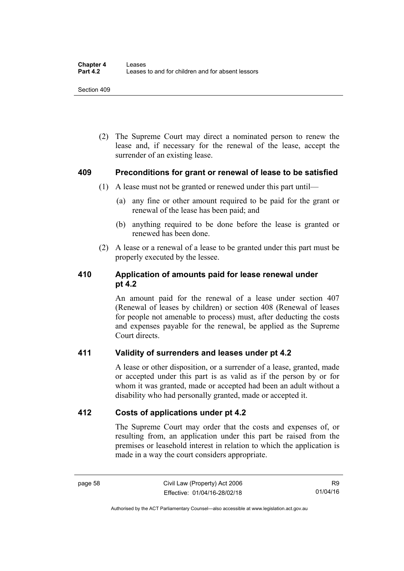(2) The Supreme Court may direct a nominated person to renew the lease and, if necessary for the renewal of the lease, accept the surrender of an existing lease.

#### **409 Preconditions for grant or renewal of lease to be satisfied**

- (1) A lease must not be granted or renewed under this part until—
	- (a) any fine or other amount required to be paid for the grant or renewal of the lease has been paid; and
	- (b) anything required to be done before the lease is granted or renewed has been done.
- (2) A lease or a renewal of a lease to be granted under this part must be properly executed by the lessee.

# **410 Application of amounts paid for lease renewal under pt 4.2**

An amount paid for the renewal of a lease under section 407 (Renewal of leases by children) or section 408 (Renewal of leases for people not amenable to process) must, after deducting the costs and expenses payable for the renewal, be applied as the Supreme Court directs.

# **411 Validity of surrenders and leases under pt 4.2**

A lease or other disposition, or a surrender of a lease, granted, made or accepted under this part is as valid as if the person by or for whom it was granted, made or accepted had been an adult without a disability who had personally granted, made or accepted it.

# **412 Costs of applications under pt 4.2**

The Supreme Court may order that the costs and expenses of, or resulting from, an application under this part be raised from the premises or leasehold interest in relation to which the application is made in a way the court considers appropriate.

Authorised by the ACT Parliamentary Counsel—also accessible at www.legislation.act.gov.au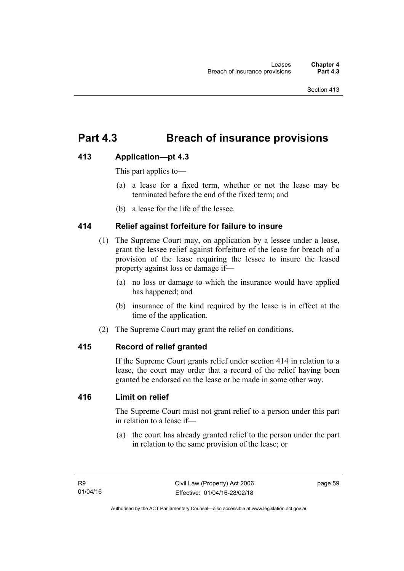# **Part 4.3 Breach of insurance provisions**

# **413 Application—pt 4.3**

This part applies to—

- (a) a lease for a fixed term, whether or not the lease may be terminated before the end of the fixed term; and
- (b) a lease for the life of the lessee.

# **414 Relief against forfeiture for failure to insure**

- (1) The Supreme Court may, on application by a lessee under a lease, grant the lessee relief against forfeiture of the lease for breach of a provision of the lease requiring the lessee to insure the leased property against loss or damage if—
	- (a) no loss or damage to which the insurance would have applied has happened; and
	- (b) insurance of the kind required by the lease is in effect at the time of the application.
- (2) The Supreme Court may grant the relief on conditions.

# **415 Record of relief granted**

If the Supreme Court grants relief under section 414 in relation to a lease, the court may order that a record of the relief having been granted be endorsed on the lease or be made in some other way.

### **416 Limit on relief**

The Supreme Court must not grant relief to a person under this part in relation to a lease if—

 (a) the court has already granted relief to the person under the part in relation to the same provision of the lease; or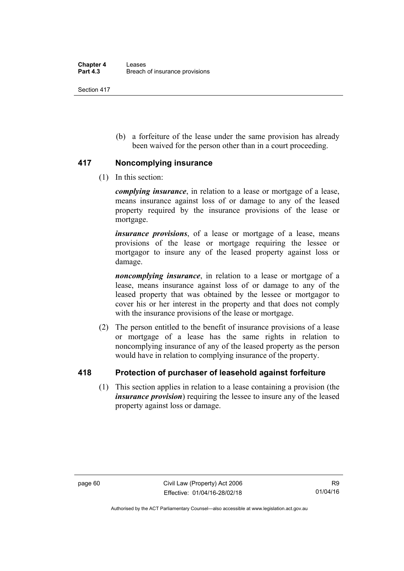(b) a forfeiture of the lease under the same provision has already been waived for the person other than in a court proceeding.

### **417 Noncomplying insurance**

(1) In this section:

*complying insurance*, in relation to a lease or mortgage of a lease, means insurance against loss of or damage to any of the leased property required by the insurance provisions of the lease or mortgage.

*insurance provisions*, of a lease or mortgage of a lease, means provisions of the lease or mortgage requiring the lessee or mortgagor to insure any of the leased property against loss or damage.

*noncomplying insurance*, in relation to a lease or mortgage of a lease, means insurance against loss of or damage to any of the leased property that was obtained by the lessee or mortgagor to cover his or her interest in the property and that does not comply with the insurance provisions of the lease or mortgage.

 (2) The person entitled to the benefit of insurance provisions of a lease or mortgage of a lease has the same rights in relation to noncomplying insurance of any of the leased property as the person would have in relation to complying insurance of the property.

# **418 Protection of purchaser of leasehold against forfeiture**

(1) This section applies in relation to a lease containing a provision (the *insurance provision*) requiring the lessee to insure any of the leased property against loss or damage.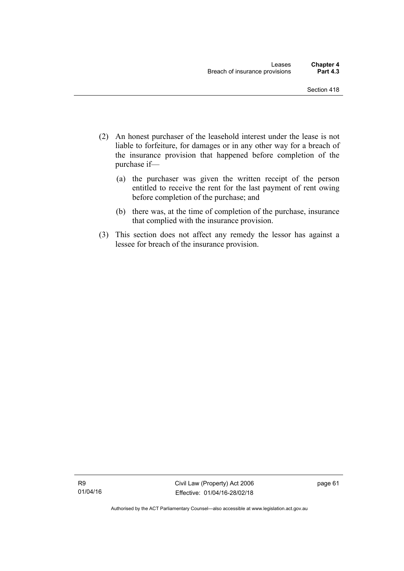- (2) An honest purchaser of the leasehold interest under the lease is not liable to forfeiture, for damages or in any other way for a breach of the insurance provision that happened before completion of the purchase if—
	- (a) the purchaser was given the written receipt of the person entitled to receive the rent for the last payment of rent owing before completion of the purchase; and
	- (b) there was, at the time of completion of the purchase, insurance that complied with the insurance provision.
- (3) This section does not affect any remedy the lessor has against a lessee for breach of the insurance provision.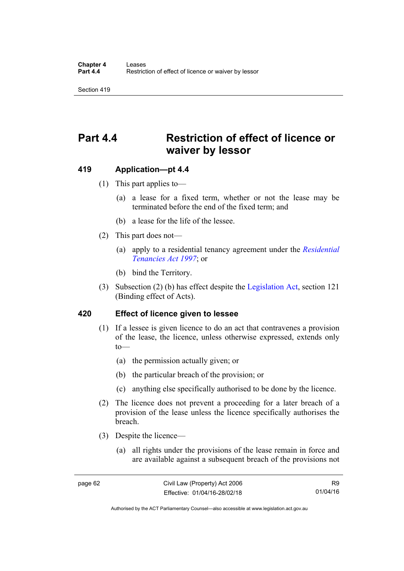# **Part 4.4 Restriction of effect of licence or waiver by lessor**

#### **419 Application—pt 4.4**

- (1) This part applies to—
	- (a) a lease for a fixed term, whether or not the lease may be terminated before the end of the fixed term; and
	- (b) a lease for the life of the lessee.
- (2) This part does not—
	- (a) apply to a residential tenancy agreement under the *[Residential](http://www.legislation.act.gov.au/a/1997-84)  [Tenancies Act 1997](http://www.legislation.act.gov.au/a/1997-84)*; or
	- (b) bind the Territory.
- (3) Subsection (2) (b) has effect despite the [Legislation Act](http://www.legislation.act.gov.au/a/2001-14), section 121 (Binding effect of Acts).

#### **420 Effect of licence given to lessee**

- (1) If a lessee is given licence to do an act that contravenes a provision of the lease, the licence, unless otherwise expressed, extends only  $to$ —
	- (a) the permission actually given; or
	- (b) the particular breach of the provision; or
	- (c) anything else specifically authorised to be done by the licence.
- (2) The licence does not prevent a proceeding for a later breach of a provision of the lease unless the licence specifically authorises the breach.
- (3) Despite the licence—
	- (a) all rights under the provisions of the lease remain in force and are available against a subsequent breach of the provisions not

Authorised by the ACT Parliamentary Counsel—also accessible at www.legislation.act.gov.au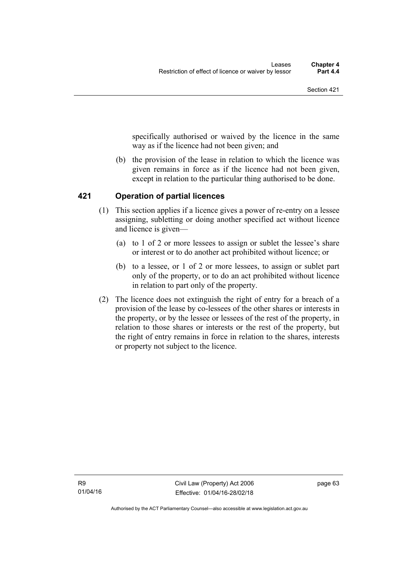specifically authorised or waived by the licence in the same way as if the licence had not been given; and

 (b) the provision of the lease in relation to which the licence was given remains in force as if the licence had not been given, except in relation to the particular thing authorised to be done.

# **421 Operation of partial licences**

- (1) This section applies if a licence gives a power of re-entry on a lessee assigning, subletting or doing another specified act without licence and licence is given—
	- (a) to 1 of 2 or more lessees to assign or sublet the lessee's share or interest or to do another act prohibited without licence; or
	- (b) to a lessee, or 1 of 2 or more lessees, to assign or sublet part only of the property, or to do an act prohibited without licence in relation to part only of the property.
- (2) The licence does not extinguish the right of entry for a breach of a provision of the lease by co-lessees of the other shares or interests in the property, or by the lessee or lessees of the rest of the property, in relation to those shares or interests or the rest of the property, but the right of entry remains in force in relation to the shares, interests or property not subject to the licence.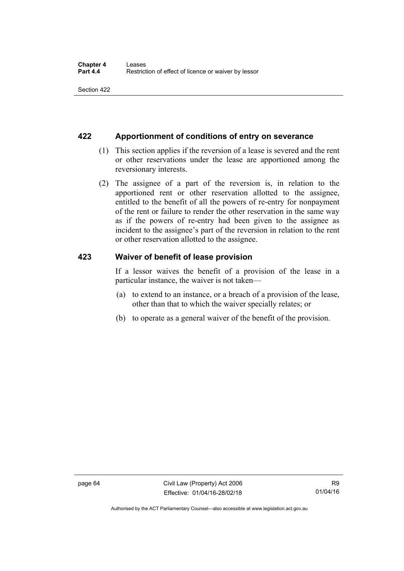## **422 Apportionment of conditions of entry on severance**

- (1) This section applies if the reversion of a lease is severed and the rent or other reservations under the lease are apportioned among the reversionary interests.
- (2) The assignee of a part of the reversion is, in relation to the apportioned rent or other reservation allotted to the assignee, entitled to the benefit of all the powers of re-entry for nonpayment of the rent or failure to render the other reservation in the same way as if the powers of re-entry had been given to the assignee as incident to the assignee's part of the reversion in relation to the rent or other reservation allotted to the assignee.

## **423 Waiver of benefit of lease provision**

If a lessor waives the benefit of a provision of the lease in a particular instance, the waiver is not taken—

- (a) to extend to an instance, or a breach of a provision of the lease, other than that to which the waiver specially relates; or
- (b) to operate as a general waiver of the benefit of the provision.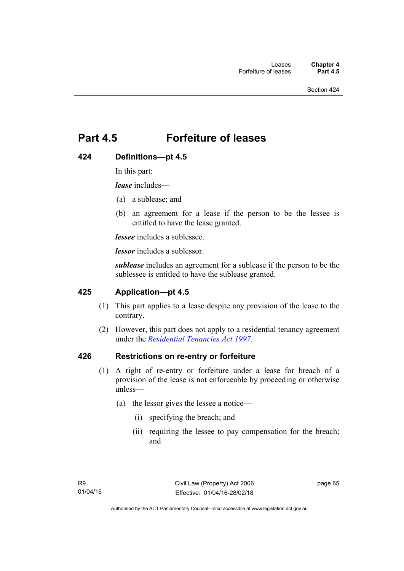# **Part 4.5 Forfeiture of leases**

# **424 Definitions—pt 4.5**

In this part:

*lease* includes—

- (a) a sublease; and
- (b) an agreement for a lease if the person to be the lessee is entitled to have the lease granted.

*lessee* includes a sublessee.

*lessor* includes a sublessor.

*sublease* includes an agreement for a sublease if the person to be the sublessee is entitled to have the sublease granted.

# **425 Application—pt 4.5**

- (1) This part applies to a lease despite any provision of the lease to the contrary.
- (2) However, this part does not apply to a residential tenancy agreement under the *[Residential Tenancies Act 1997](http://www.legislation.act.gov.au/a/1997-84)*.

## **426 Restrictions on re-entry or forfeiture**

- (1) A right of re-entry or forfeiture under a lease for breach of a provision of the lease is not enforceable by proceeding or otherwise unless—
	- (a) the lessor gives the lessee a notice—
		- (i) specifying the breach; and
		- (ii) requiring the lessee to pay compensation for the breach; and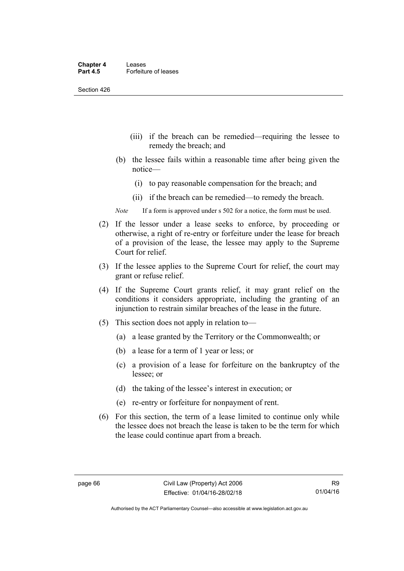Section 426

- (iii) if the breach can be remedied—requiring the lessee to remedy the breach; and
- (b) the lessee fails within a reasonable time after being given the notice—
	- (i) to pay reasonable compensation for the breach; and
	- (ii) if the breach can be remedied—to remedy the breach.
- *Note* If a form is approved under s 502 for a notice, the form must be used.
- (2) If the lessor under a lease seeks to enforce, by proceeding or otherwise, a right of re-entry or forfeiture under the lease for breach of a provision of the lease, the lessee may apply to the Supreme Court for relief.
- (3) If the lessee applies to the Supreme Court for relief, the court may grant or refuse relief.
- (4) If the Supreme Court grants relief, it may grant relief on the conditions it considers appropriate, including the granting of an injunction to restrain similar breaches of the lease in the future.
- (5) This section does not apply in relation to—
	- (a) a lease granted by the Territory or the Commonwealth; or
	- (b) a lease for a term of 1 year or less; or
	- (c) a provision of a lease for forfeiture on the bankruptcy of the lessee; or
	- (d) the taking of the lessee's interest in execution; or
	- (e) re-entry or forfeiture for nonpayment of rent.
- (6) For this section, the term of a lease limited to continue only while the lessee does not breach the lease is taken to be the term for which the lease could continue apart from a breach.

Authorised by the ACT Parliamentary Counsel—also accessible at www.legislation.act.gov.au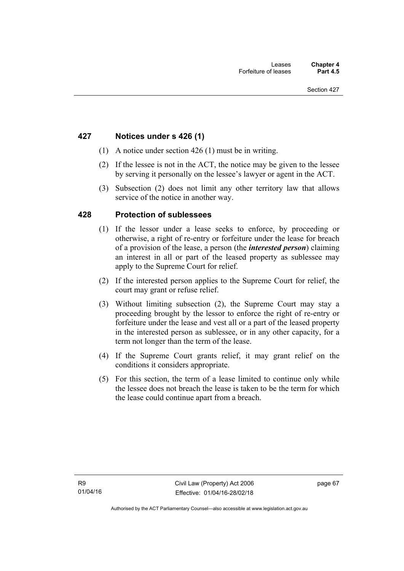## **427 Notices under s 426 (1)**

- (1) A notice under section 426 (1) must be in writing.
- (2) If the lessee is not in the ACT, the notice may be given to the lessee by serving it personally on the lessee's lawyer or agent in the ACT.
- (3) Subsection (2) does not limit any other territory law that allows service of the notice in another way.

## **428 Protection of sublessees**

- (1) If the lessor under a lease seeks to enforce, by proceeding or otherwise, a right of re-entry or forfeiture under the lease for breach of a provision of the lease, a person (the *interested person*) claiming an interest in all or part of the leased property as sublessee may apply to the Supreme Court for relief.
- (2) If the interested person applies to the Supreme Court for relief, the court may grant or refuse relief.
- (3) Without limiting subsection (2), the Supreme Court may stay a proceeding brought by the lessor to enforce the right of re-entry or forfeiture under the lease and vest all or a part of the leased property in the interested person as sublessee, or in any other capacity, for a term not longer than the term of the lease.
- (4) If the Supreme Court grants relief, it may grant relief on the conditions it considers appropriate.
- (5) For this section, the term of a lease limited to continue only while the lessee does not breach the lease is taken to be the term for which the lease could continue apart from a breach.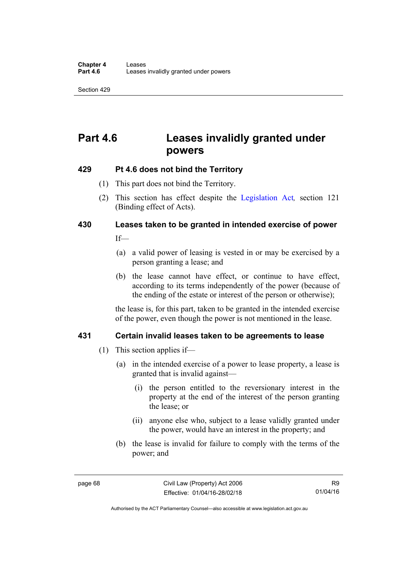Section 429

# **Part 4.6 Leases invalidly granted under powers**

## **429 Pt 4.6 does not bind the Territory**

- (1) This part does not bind the Territory.
- (2) This section has effect despite the [Legislation Act](http://www.legislation.act.gov.au/a/2001-14)*,* section 121 (Binding effect of Acts).

# **430 Leases taken to be granted in intended exercise of power**

If—

- (a) a valid power of leasing is vested in or may be exercised by a person granting a lease; and
- (b) the lease cannot have effect, or continue to have effect, according to its terms independently of the power (because of the ending of the estate or interest of the person or otherwise);

the lease is, for this part, taken to be granted in the intended exercise of the power, even though the power is not mentioned in the lease.

# **431 Certain invalid leases taken to be agreements to lease**

- (1) This section applies if—
	- (a) in the intended exercise of a power to lease property, a lease is granted that is invalid against—
		- (i) the person entitled to the reversionary interest in the property at the end of the interest of the person granting the lease; or
		- (ii) anyone else who, subject to a lease validly granted under the power, would have an interest in the property; and
	- (b) the lease is invalid for failure to comply with the terms of the power; and

Authorised by the ACT Parliamentary Counsel—also accessible at www.legislation.act.gov.au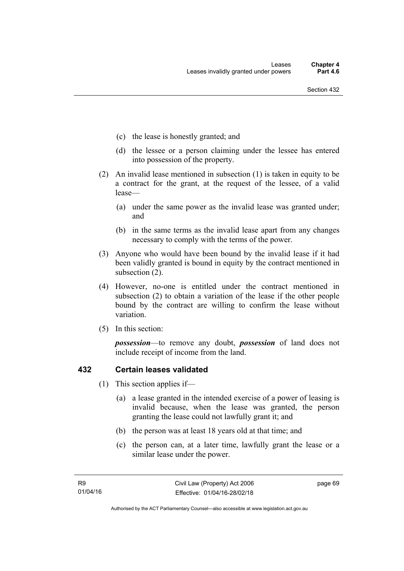- (c) the lease is honestly granted; and
- (d) the lessee or a person claiming under the lessee has entered into possession of the property.
- (2) An invalid lease mentioned in subsection (1) is taken in equity to be a contract for the grant, at the request of the lessee, of a valid lease—
	- (a) under the same power as the invalid lease was granted under; and
	- (b) in the same terms as the invalid lease apart from any changes necessary to comply with the terms of the power.
- (3) Anyone who would have been bound by the invalid lease if it had been validly granted is bound in equity by the contract mentioned in subsection (2).
- (4) However, no-one is entitled under the contract mentioned in subsection (2) to obtain a variation of the lease if the other people bound by the contract are willing to confirm the lease without variation.
- (5) In this section:

*possession*—to remove any doubt, *possession* of land does not include receipt of income from the land.

# **432 Certain leases validated**

- (1) This section applies if—
	- (a) a lease granted in the intended exercise of a power of leasing is invalid because, when the lease was granted, the person granting the lease could not lawfully grant it; and
	- (b) the person was at least 18 years old at that time; and
	- (c) the person can, at a later time, lawfully grant the lease or a similar lease under the power.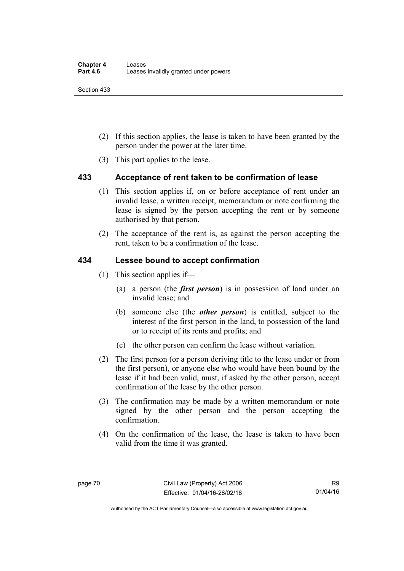Section 433

- (2) If this section applies, the lease is taken to have been granted by the person under the power at the later time.
- (3) This part applies to the lease.

# **433 Acceptance of rent taken to be confirmation of lease**

- (1) This section applies if, on or before acceptance of rent under an invalid lease, a written receipt, memorandum or note confirming the lease is signed by the person accepting the rent or by someone authorised by that person.
- (2) The acceptance of the rent is, as against the person accepting the rent, taken to be a confirmation of the lease.

## **434 Lessee bound to accept confirmation**

- (1) This section applies if—
	- (a) a person (the *first person*) is in possession of land under an invalid lease; and
	- (b) someone else (the *other person*) is entitled, subject to the interest of the first person in the land, to possession of the land or to receipt of its rents and profits; and
	- (c) the other person can confirm the lease without variation.
- (2) The first person (or a person deriving title to the lease under or from the first person), or anyone else who would have been bound by the lease if it had been valid, must, if asked by the other person, accept confirmation of the lease by the other person.
- (3) The confirmation may be made by a written memorandum or note signed by the other person and the person accepting the confirmation.
- (4) On the confirmation of the lease, the lease is taken to have been valid from the time it was granted.

Authorised by the ACT Parliamentary Counsel—also accessible at www.legislation.act.gov.au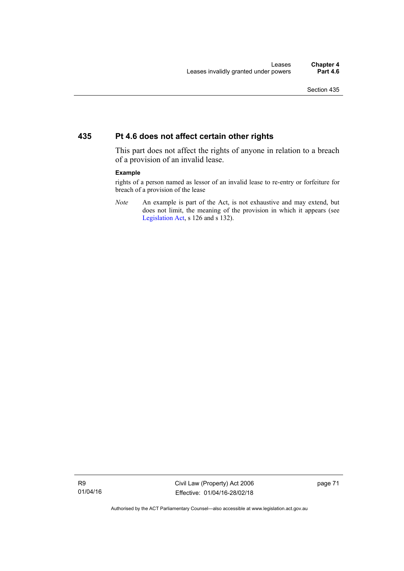## **435 Pt 4.6 does not affect certain other rights**

This part does not affect the rights of anyone in relation to a breach of a provision of an invalid lease.

#### **Example**

rights of a person named as lessor of an invalid lease to re-entry or forfeiture for breach of a provision of the lease

*Note* An example is part of the Act, is not exhaustive and may extend, but does not limit, the meaning of the provision in which it appears (see [Legislation Act,](http://www.legislation.act.gov.au/a/2001-14) s 126 and s 132).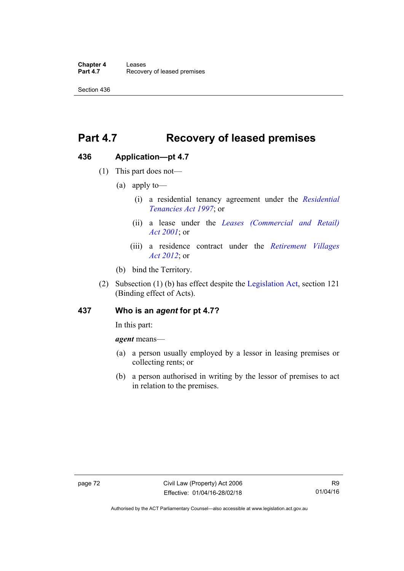**Chapter 4 Leases**<br>**Part 4.7** Recove **Recovery of leased premises** 

Section 436

# **Part 4.7 Recovery of leased premises**

## **436 Application—pt 4.7**

- (1) This part does not—
	- (a) apply to—
		- (i) a residential tenancy agreement under the *[Residential](http://www.legislation.act.gov.au/a/1997-84)  [Tenancies Act 1997](http://www.legislation.act.gov.au/a/1997-84)*; or
		- (ii) a lease under the *[Leases \(Commercial and Retail\)](http://www.legislation.act.gov.au/a/2001-18)  [Act 2001](http://www.legislation.act.gov.au/a/2001-18)*; or
		- (iii) a residence contract under the *[Retirement Villages](http://www.legislation.act.gov.au/a/2012-38)  [Act 2012](http://www.legislation.act.gov.au/a/2012-38)*; or
	- (b) bind the Territory.
- (2) Subsection (1) (b) has effect despite the [Legislation Act](http://www.legislation.act.gov.au/a/2001-14), section 121 (Binding effect of Acts).

## **437 Who is an** *agent* **for pt 4.7?**

In this part:

*agent* means—

- (a) a person usually employed by a lessor in leasing premises or collecting rents; or
- (b) a person authorised in writing by the lessor of premises to act in relation to the premises.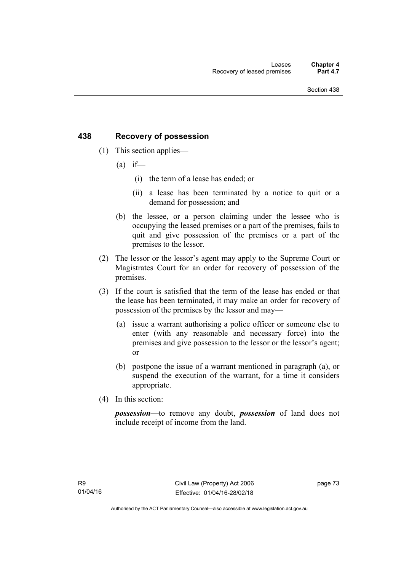# **438 Recovery of possession**

- (1) This section applies—
	- $(a)$  if—
		- (i) the term of a lease has ended; or
		- (ii) a lease has been terminated by a notice to quit or a demand for possession; and
	- (b) the lessee, or a person claiming under the lessee who is occupying the leased premises or a part of the premises, fails to quit and give possession of the premises or a part of the premises to the lessor.
- (2) The lessor or the lessor's agent may apply to the Supreme Court or Magistrates Court for an order for recovery of possession of the premises.
- (3) If the court is satisfied that the term of the lease has ended or that the lease has been terminated, it may make an order for recovery of possession of the premises by the lessor and may—
	- (a) issue a warrant authorising a police officer or someone else to enter (with any reasonable and necessary force) into the premises and give possession to the lessor or the lessor's agent; or
	- (b) postpone the issue of a warrant mentioned in paragraph (a), or suspend the execution of the warrant, for a time it considers appropriate.
- (4) In this section:

*possession*—to remove any doubt, *possession* of land does not include receipt of income from the land.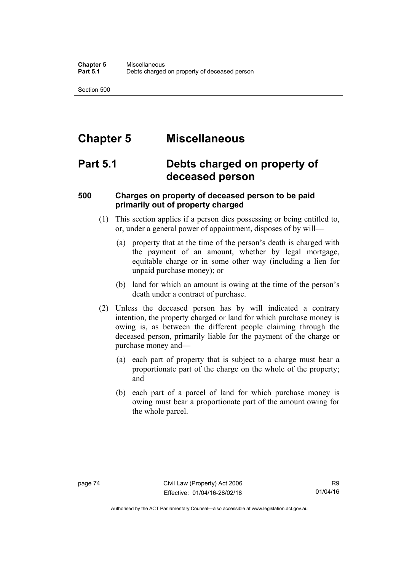Section 500

# **Chapter 5 Miscellaneous**

# **Part 5.1 Debts charged on property of deceased person**

# **500 Charges on property of deceased person to be paid primarily out of property charged**

- (1) This section applies if a person dies possessing or being entitled to, or, under a general power of appointment, disposes of by will—
	- (a) property that at the time of the person's death is charged with the payment of an amount, whether by legal mortgage, equitable charge or in some other way (including a lien for unpaid purchase money); or
	- (b) land for which an amount is owing at the time of the person's death under a contract of purchase.
- (2) Unless the deceased person has by will indicated a contrary intention, the property charged or land for which purchase money is owing is, as between the different people claiming through the deceased person, primarily liable for the payment of the charge or purchase money and—
	- (a) each part of property that is subject to a charge must bear a proportionate part of the charge on the whole of the property; and
	- (b) each part of a parcel of land for which purchase money is owing must bear a proportionate part of the amount owing for the whole parcel.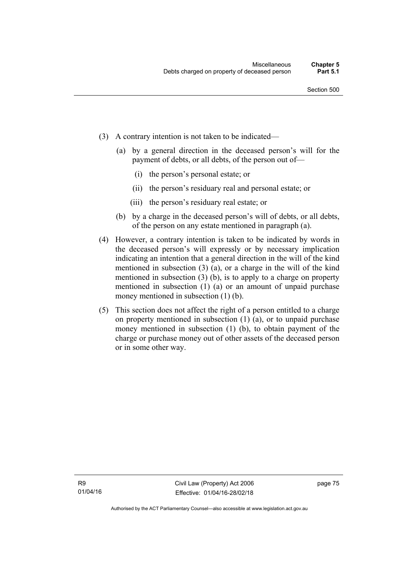- (3) A contrary intention is not taken to be indicated—
	- (a) by a general direction in the deceased person's will for the payment of debts, or all debts, of the person out of—
		- (i) the person's personal estate; or
		- (ii) the person's residuary real and personal estate; or
		- (iii) the person's residuary real estate; or
	- (b) by a charge in the deceased person's will of debts, or all debts, of the person on any estate mentioned in paragraph (a).
- (4) However, a contrary intention is taken to be indicated by words in the deceased person's will expressly or by necessary implication indicating an intention that a general direction in the will of the kind mentioned in subsection (3) (a), or a charge in the will of the kind mentioned in subsection (3) (b), is to apply to a charge on property mentioned in subsection (1) (a) or an amount of unpaid purchase money mentioned in subsection (1) (b).
- (5) This section does not affect the right of a person entitled to a charge on property mentioned in subsection (1) (a), or to unpaid purchase money mentioned in subsection (1) (b), to obtain payment of the charge or purchase money out of other assets of the deceased person or in some other way.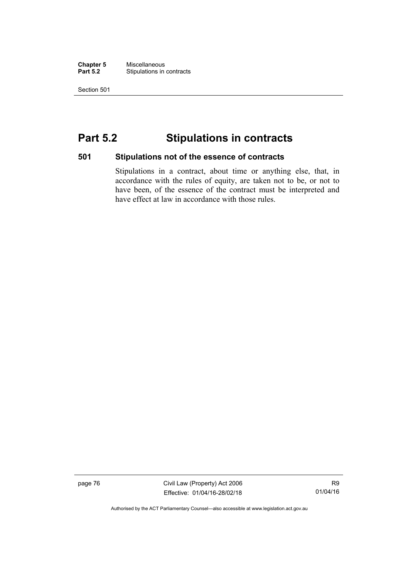**Chapter 5** Miscellaneous<br>**Part 5.2** Stipulations in **Stipulations in contracts** 

Section 501

# **Part 5.2 Stipulations in contracts**

### **501 Stipulations not of the essence of contracts**

Stipulations in a contract, about time or anything else, that, in accordance with the rules of equity, are taken not to be, or not to have been, of the essence of the contract must be interpreted and have effect at law in accordance with those rules.

page 76 Civil Law (Property) Act 2006 Effective: 01/04/16-28/02/18

R9 01/04/16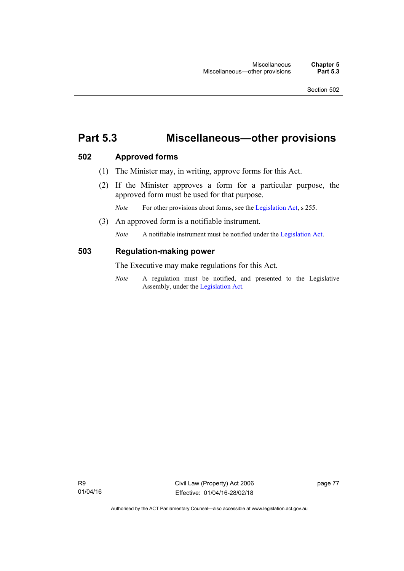# **Part 5.3 Miscellaneous—other provisions**

## **502 Approved forms**

- (1) The Minister may, in writing, approve forms for this Act.
- (2) If the Minister approves a form for a particular purpose, the approved form must be used for that purpose.

*Note* For other provisions about forms, see the [Legislation Act,](http://www.legislation.act.gov.au/a/2001-14) s 255.

(3) An approved form is a notifiable instrument.

*Note* A notifiable instrument must be notified under the [Legislation Act](http://www.legislation.act.gov.au/a/2001-14).

### **503 Regulation-making power**

The Executive may make regulations for this Act.

*Note* A regulation must be notified, and presented to the Legislative Assembly, under the [Legislation Act](http://www.legislation.act.gov.au/a/2001-14).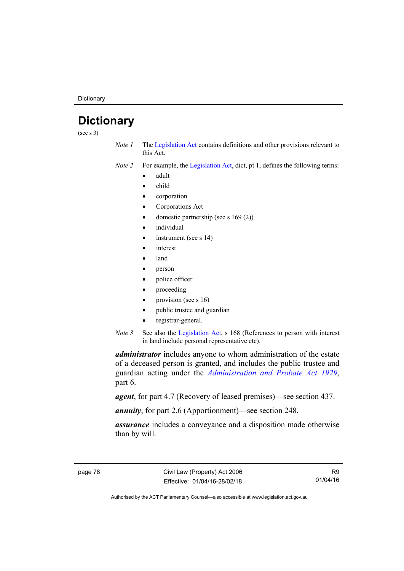**Dictionary** 

# **Dictionary**

(see s 3)

- *Note 1* The [Legislation Act](http://www.legislation.act.gov.au/a/2001-14) contains definitions and other provisions relevant to this Act.
- *Note 2* For example, the [Legislation Act,](http://www.legislation.act.gov.au/a/2001-14) dict, pt 1, defines the following terms:
	- adult
	- child
	- corporation
	- Corporations Act
	- domestic partnership (see s 169 (2))
	- individual
	- instrument (see s 14)
	- interest
	- land
	- person
	- police officer
	- proceeding
	- provision (see s 16)
	- public trustee and guardian
	- registrar-general.
- *Note 3* See also the [Legislation Act,](http://www.legislation.act.gov.au/a/2001-14) s 168 (References to person with interest in land include personal representative etc).

*administrator* includes anyone to whom administration of the estate of a deceased person is granted, and includes the public trustee and guardian acting under the *[Administration and Probate Act 1929](http://www.legislation.act.gov.au/a/1929-18)*, part 6.

*agent*, for part 4.7 (Recovery of leased premises)—see section 437.

*annuity*, for part 2.6 (Apportionment)—see section 248.

*assurance* includes a conveyance and a disposition made otherwise than by will.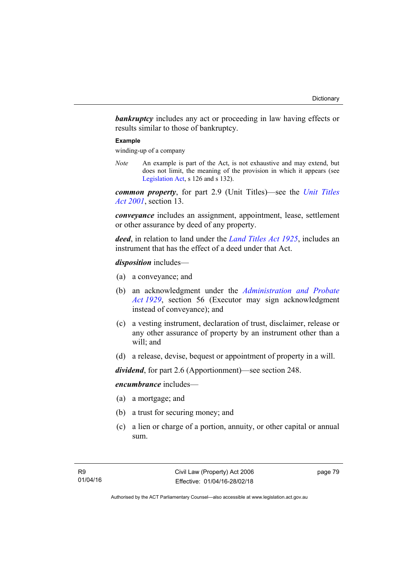*bankruptcy* includes any act or proceeding in law having effects or results similar to those of bankruptcy.

#### **Example**

winding-up of a company

*Note* An example is part of the Act, is not exhaustive and may extend, but does not limit, the meaning of the provision in which it appears (see [Legislation Act,](http://www.legislation.act.gov.au/a/2001-14) s 126 and s 132).

*common property*, for part 2.9 (Unit Titles)—see the *[Unit Titles](http://www.legislation.act.gov.au/a/2001-16)  [Act 2001](http://www.legislation.act.gov.au/a/2001-16)*, section 13.

*conveyance* includes an assignment, appointment, lease, settlement or other assurance by deed of any property.

*deed*, in relation to land under the *[Land Titles Act 1925](http://www.legislation.act.gov.au/a/1925-1)*, includes an instrument that has the effect of a deed under that Act.

*disposition* includes—

- (a) a conveyance; and
- (b) an acknowledgment under the *[Administration and Probate](http://www.legislation.act.gov.au/a/1929-18)  [Act 1929](http://www.legislation.act.gov.au/a/1929-18)*, section 56 (Executor may sign acknowledgment instead of conveyance); and
- (c) a vesting instrument, declaration of trust, disclaimer, release or any other assurance of property by an instrument other than a will; and
- (d) a release, devise, bequest or appointment of property in a will.

*dividend*, for part 2.6 (Apportionment)—see section 248.

### *encumbrance* includes—

- (a) a mortgage; and
- (b) a trust for securing money; and
- (c) a lien or charge of a portion, annuity, or other capital or annual sum.

page 79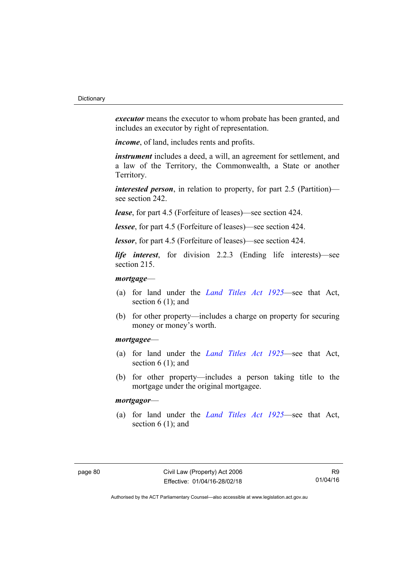*executor* means the executor to whom probate has been granted, and includes an executor by right of representation.

*income*, of land, includes rents and profits.

*instrument* includes a deed, a will, an agreement for settlement, and a law of the Territory, the Commonwealth, a State or another Territory.

*interested person*, in relation to property, for part 2.5 (Partition) see section 242.

*lease*, for part 4.5 (Forfeiture of leases)—see section 424.

*lessee*, for part 4.5 (Forfeiture of leases)—see section 424.

*lessor*, for part 4.5 (Forfeiture of leases)—see section 424.

*life interest*, for division 2.2.3 (Ending life interests)—see section 215.

### *mortgage*—

- (a) for land under the *[Land Titles Act 1925](http://www.legislation.act.gov.au/a/1925-1)*—see that Act, section 6 (1); and
- (b) for other property—includes a charge on property for securing money or money's worth.

### *mortgagee*—

- (a) for land under the *[Land Titles Act 1925](http://www.legislation.act.gov.au/a/1925-1)*—see that Act, section 6 (1); and
- (b) for other property—includes a person taking title to the mortgage under the original mortgagee.

### *mortgagor*—

 (a) for land under the *[Land Titles Act 1925](http://www.legislation.act.gov.au/a/1925-1)*—see that Act, section  $6(1)$ ; and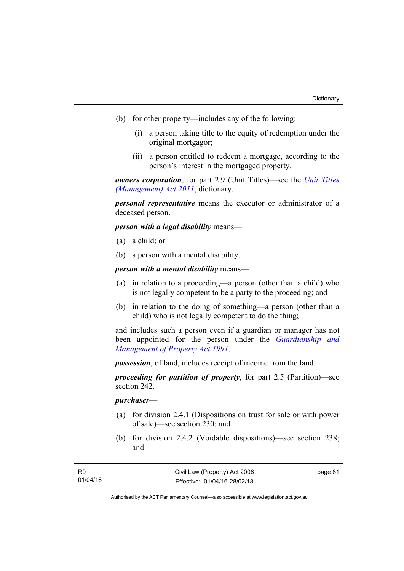- (b) for other property—includes any of the following:
	- (i) a person taking title to the equity of redemption under the original mortgagor;
	- (ii) a person entitled to redeem a mortgage, according to the person's interest in the mortgaged property.

*owners corporation*, for part 2.9 (Unit Titles)—see the *[Unit Titles](http://www.legislation.act.gov.au/a/2011-41)  [\(Management\) Act 2011](http://www.legislation.act.gov.au/a/2011-41)*, dictionary.

*personal representative* means the executor or administrator of a deceased person.

*person with a legal disability* means—

- (a) a child; or
- (b) a person with a mental disability.

*person with a mental disability* means—

- (a) in relation to a proceeding—a person (other than a child) who is not legally competent to be a party to the proceeding; and
- (b) in relation to the doing of something—a person (other than a child) who is not legally competent to do the thing;

and includes such a person even if a guardian or manager has not been appointed for the person under the *[Guardianship and](http://www.legislation.act.gov.au/a/1991-62)  [Management of Property Act 1991](http://www.legislation.act.gov.au/a/1991-62)*.

*possession*, of land, includes receipt of income from the land.

*proceeding for partition of property*, for part 2.5 (Partition)—see section 242.

### *purchaser*—

- (a) for division 2.4.1 (Dispositions on trust for sale or with power of sale)—see section 230; and
- (b) for division 2.4.2 (Voidable dispositions)—see section 238; and

page 81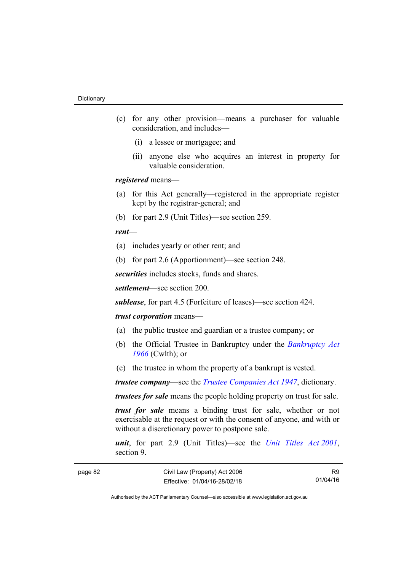- (c) for any other provision—means a purchaser for valuable consideration, and includes—
	- (i) a lessee or mortgagee; and
	- (ii) anyone else who acquires an interest in property for valuable consideration.

*registered* means—

- (a) for this Act generally—registered in the appropriate register kept by the registrar-general; and
- (b) for part 2.9 (Unit Titles)—see section 259.

#### *rent*—

- (a) includes yearly or other rent; and
- (b) for part 2.6 (Apportionment)—see section 248.

*securities* includes stocks, funds and shares.

*settlement*—see section 200.

*sublease*, for part 4.5 (Forfeiture of leases)—see section 424.

#### *trust corporation* means—

- (a) the public trustee and guardian or a trustee company; or
- (b) the Official Trustee in Bankruptcy under the *[Bankruptcy Act](http://www.comlaw.gov.au/Series/C2004A07422)  [1966](http://www.comlaw.gov.au/Series/C2004A07422)* (Cwlth); or
- (c) the trustee in whom the property of a bankrupt is vested.

*trustee company*—see the *[Trustee Companies Act 1947](http://www.legislation.act.gov.au/a/1947-15)*, dictionary.

*trustees for sale* means the people holding property on trust for sale.

*trust for sale* means a binding trust for sale, whether or not exercisable at the request or with the consent of anyone, and with or without a discretionary power to postpone sale.

*unit*, for part 2.9 (Unit Titles)—see the *[Unit Titles Act 2001](http://www.legislation.act.gov.au/a/2001-16)*, section 9.

R9 01/04/16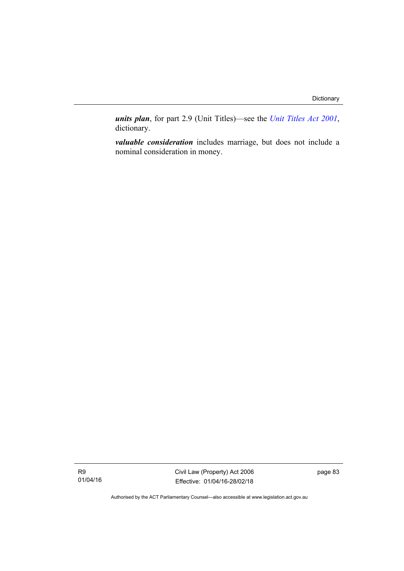*units plan*, for part 2.9 (Unit Titles)—see the *[Unit Titles Act 2001](http://www.legislation.act.gov.au/a/2001-16)*, dictionary.

*valuable consideration* includes marriage, but does not include a nominal consideration in money.

R9 01/04/16 Civil Law (Property) Act 2006 Effective: 01/04/16-28/02/18 page 83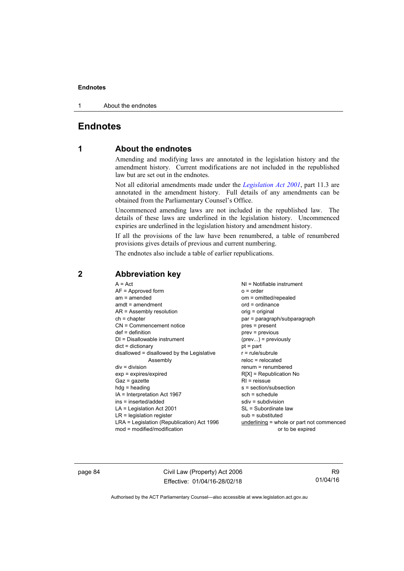1 About the endnotes

# **Endnotes**

## **1 About the endnotes**

Amending and modifying laws are annotated in the legislation history and the amendment history. Current modifications are not included in the republished law but are set out in the endnotes.

Not all editorial amendments made under the *[Legislation Act 2001](http://www.legislation.act.gov.au/a/2001-14)*, part 11.3 are annotated in the amendment history. Full details of any amendments can be obtained from the Parliamentary Counsel's Office.

Uncommenced amending laws are not included in the republished law. The details of these laws are underlined in the legislation history. Uncommenced expiries are underlined in the legislation history and amendment history.

If all the provisions of the law have been renumbered, a table of renumbered provisions gives details of previous and current numbering.

The endnotes also include a table of earlier republications.

| $A = Act$                                  | $NI = Notifiable$ instrument              |
|--------------------------------------------|-------------------------------------------|
| $AF =$ Approved form                       | $o = order$                               |
| $am = amended$                             | om = omitted/repealed                     |
| $amdt = amendment$                         | $ord = ordinance$                         |
| AR = Assembly resolution                   | orig = original                           |
| $ch = chapter$                             | par = paragraph/subparagraph              |
| $CN =$ Commencement notice                 | pres = present                            |
| $def = definition$                         | prev = previous                           |
| $DI = Disallowable instrument$             | $(\text{prev}) = \text{previously}$       |
| $dict = dictionary$                        | $pt = part$                               |
| disallowed = disallowed by the Legislative | $r = rule/subrule$                        |
| Assembly                                   | $reloc = relocated$                       |
| $div = division$                           | $renum = renumbered$                      |
| $exp = expires/expired$                    | $R[X]$ = Republication No                 |
| $Gaz = qazette$                            | $R1$ = reissue                            |
| $hdg = heading$                            | s = section/subsection                    |
| IA = Interpretation Act 1967               | $sch = schedule$                          |
| ins = inserted/added                       | $sdiv = subdivision$                      |
| $LA =$ Legislation Act 2001                | SL = Subordinate law                      |
| $LR =$ legislation register                | $sub =$ substituted                       |
| LRA = Legislation (Republication) Act 1996 | underlining = whole or part not commenced |
| $mod = modified/modification$              | or to be expired                          |

## **2 Abbreviation key**

page 84 Civil Law (Property) Act 2006 Effective: 01/04/16-28/02/18

R9 01/04/16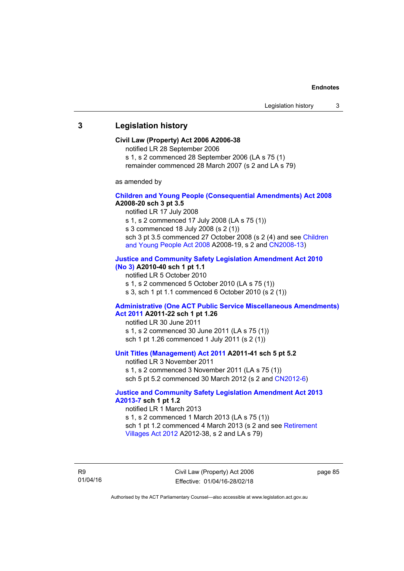### **3 Legislation history**

#### **Civil Law (Property) Act 2006 A2006-38**

notified LR 28 September 2006

s 1, s 2 commenced 28 September 2006 (LA s 75 (1)

remainder commenced 28 March 2007 (s 2 and LA s 79)

as amended by

#### **[Children and Young People \(Consequential Amendments\) Act 2008](http://www.legislation.act.gov.au/a/2008-20) A2008-20 sch 3 pt 3.5**

notified LR 17 July 2008

s 1, s 2 commenced 17 July 2008 (LA s 75 (1))

s 3 commenced 18 July 2008 (s 2 (1))

sch 3 pt 3.5 commenced 27 October 2008 (s 2 (4) and see [Children](http://www.legislation.act.gov.au/a/2008-19)  [and Young People Act 2008](http://www.legislation.act.gov.au/a/2008-19) A2008-19, s 2 and [CN2008-13](http://www.legislation.act.gov.au/cn/2008-13/default.asp))

#### **[Justice and Community Safety Legislation Amendment Act 2010](http://www.legislation.act.gov.au/a/2010-40)  [\(No 3\)](http://www.legislation.act.gov.au/a/2010-40) A2010-40 sch 1 pt 1.1**

notified LR 5 October 2010

s 1, s 2 commenced 5 October 2010 (LA s 75 (1))

s 3, sch 1 pt 1.1 commenced 6 October 2010 (s 2 (1))

#### **[Administrative \(One ACT Public Service Miscellaneous Amendments\)](http://www.legislation.act.gov.au/a/2011-22)  [Act 2011](http://www.legislation.act.gov.au/a/2011-22) A2011-22 sch 1 pt 1.26**

notified LR 30 June 2011 s 1, s 2 commenced 30 June 2011 (LA s 75 (1)) sch 1 pt 1.26 commenced 1 July 2011 (s 2 (1))

#### **[Unit Titles \(Management\) Act 2011](http://www.legislation.act.gov.au/a/2011-41) A2011-41 sch 5 pt 5.2**

notified LR 3 November 2011 s 1, s 2 commenced 3 November 2011 (LA s 75 (1)) sch 5 pt 5.2 commenced 30 March 2012 (s 2 and [CN2012-6\)](http://www.legislation.act.gov.au/cn/2012-6/default.asp)

#### **[Justice and Community Safety Legislation Amendment Act 2013](http://www.legislation.act.gov.au/a/2013-7/default.asp)  [A2013-7](http://www.legislation.act.gov.au/a/2013-7/default.asp) sch 1 pt 1.2**

notified LR 1 March 2013 s 1, s 2 commenced 1 March 2013 (LA s 75 (1)) sch 1 pt 1.2 commenced 4 March 2013 (s 2 and see [Retirement](http://www.legislation.act.gov.au/a/2012-38)  [Villages Act 2012](http://www.legislation.act.gov.au/a/2012-38) A2012-38, s 2 and LA s 79)

R9 01/04/16 Civil Law (Property) Act 2006 Effective: 01/04/16-28/02/18 page 85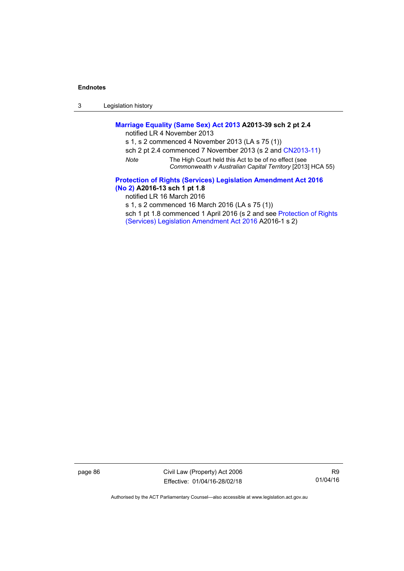3 Legislation history

## **[Marriage Equality \(Same Sex\) Act 2013](http://www.legislation.act.gov.au/a/2013-39) A2013-39 sch 2 pt 2.4**

notified LR 4 November 2013

s 1, s 2 commenced 4 November 2013 (LA s 75 (1))

- sch 2 pt 2.4 commenced 7 November 2013 (s 2 and [CN2013-11](http://www.legislation.act.gov.au/cn/2013-11))
- *Note* The High Court held this Act to be of no effect (see *Commonwealth v Australian Capital Territory* [2013] HCA 55)

**[Protection of Rights \(Services\) Legislation Amendment Act 2016](http://www.legislation.act.gov.au/a/2016-13)  [\(No 2\)](http://www.legislation.act.gov.au/a/2016-13) A2016-13 sch 1 pt 1.8** 

notified LR 16 March 2016

s 1, s 2 commenced 16 March 2016 (LA s 75 (1))

sch 1 pt 1.8 commenced 1 April 2016 (s 2 and see [Protection of Rights](http://www.legislation.act.gov.au/a/2016-1/default.asp)  [\(Services\) Legislation Amendment Act 2016](http://www.legislation.act.gov.au/a/2016-1/default.asp) A2016-1 s 2)

page 86 Civil Law (Property) Act 2006 Effective: 01/04/16-28/02/18

R9 01/04/16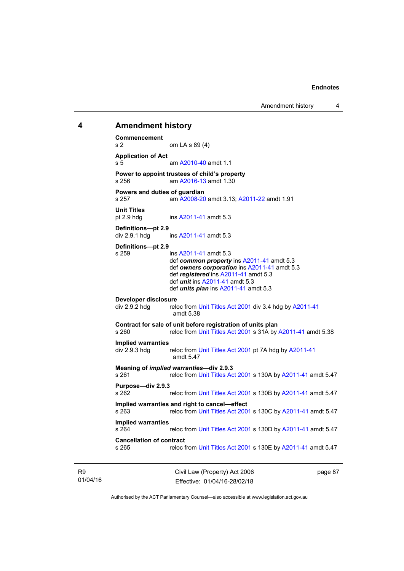Amendment history 4

## **4 Amendment history Commencement**  s 2 om LA s 89 (4) **Application of Act**  s 5 am [A2010-40](http://www.legislation.act.gov.au/a/2010-40) amdt 1.1 **Power to appoint trustees of child's property**  s 256 am [A2016-13](http://www.legislation.act.gov.au/a/2016-13) amdt 1.30 **Powers and duties of guardian**  s 257 am [A2008-20](http://www.legislation.act.gov.au/a/2008-20) amdt 3.13; [A2011-22](http://www.legislation.act.gov.au/a/2011-22) amdt 1.91 **Unit Titles**  pt 2.9 hdg ins [A2011-41](http://www.legislation.act.gov.au/a/2011-41) amdt 5.3 **Definitions—pt 2.9**   $div 2.9.1$  hdg ins  $A2011-41$  amdt 5.3 **Definitions—pt 2.9**  s 259 ins [A2011-41](http://www.legislation.act.gov.au/a/2011-41) amdt 5.3 def *common property* ins [A2011-41](http://www.legislation.act.gov.au/a/2011-41) amdt 5.3 def *owners corporation* ins [A2011-41](http://www.legislation.act.gov.au/a/2011-41) amdt 5.3 def *registered* ins [A2011-41](http://www.legislation.act.gov.au/a/2011-41) amdt 5.3 def *unit* ins [A2011-41](http://www.legislation.act.gov.au/a/2011-41) amdt 5.3 def *units plan* ins [A2011-41](http://www.legislation.act.gov.au/a/2011-41) amdt 5.3 **Developer disclosure**  div 2.9.2 hdg reloc from [Unit Titles Act 2001](http://www.legislation.act.gov.au/a/2001-16) div 3.4 hdg by [A2011-41](http://www.legislation.act.gov.au/a/2011-41) amdt 5.38 **Contract for sale of unit before registration of units plan**<br>s 260 **contract property** reloc from Unit Titles Act 2001 s 31A by reloc from [Unit Titles Act 2001](http://www.legislation.act.gov.au/a/2001-16) s 31A by [A2011-41](http://www.legislation.act.gov.au/a/2011-41) amdt 5.38 **Implied warranties**  div 2.9.3 hdg reloc from [Unit Titles Act 2001](http://www.legislation.act.gov.au/a/2001-16) pt 7A hdg by [A2011-41](http://www.legislation.act.gov.au/a/2011-41) amdt 5.47 **Meaning of** *implied warranties***—div 2.9.3**  s 261 reloc from [Unit Titles Act 2001](http://www.legislation.act.gov.au/a/2001-16) s 130A by [A2011-41](http://www.legislation.act.gov.au/a/2011-41) amdt 5.47 **Purpose—div 2.9.3**  s 262 reloc from [Unit Titles Act 2001](http://www.legislation.act.gov.au/a/2001-16) s 130B by [A2011-41](http://www.legislation.act.gov.au/a/2011-41) amdt 5.47 **Implied warranties and right to cancel—effect**  reloc from [Unit Titles Act 2001](http://www.legislation.act.gov.au/a/2001-16) s 130C by [A2011-41](http://www.legislation.act.gov.au/a/2011-41) amdt 5.47 **Implied warranties**  s 264 reloc from [Unit Titles Act 2001](http://www.legislation.act.gov.au/a/2001-16) s 130D by [A2011-41](http://www.legislation.act.gov.au/a/2011-41) amdt 5.47 **Cancellation of contract**  s 265 reloc from [Unit Titles Act 2001](http://www.legislation.act.gov.au/a/2001-16) s 130E by [A2011-41](http://www.legislation.act.gov.au/a/2011-41) amdt 5.47

R9 01/04/16 Civil Law (Property) Act 2006 Effective: 01/04/16-28/02/18

page 87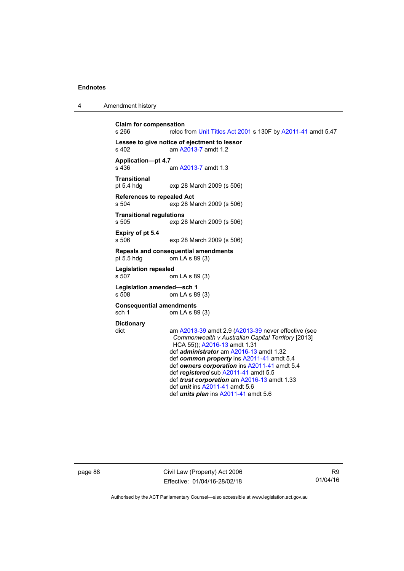4 Amendment history

```
Claim for compensation 
s 266 reloc from Unit Titles Act 2001 s 130F by A2011-41 amdt 5.47 
Lessee to give notice of ejectment to lessor 
                 A2013-7 amdt 1.2
Application—pt 4.7 
                  A2013-7 amdt 1.3
Transitional 
pt 5.4 hdg exp 28 March 2009 (s 506) 
References to repealed Act 
s 504 exp 28 March 2009 (s 506) 
Transitional regulations 
s 505 exp 28 March 2009 (s 506) 
Expiry of pt 5.4 
s 506 exp 28 March 2009 (s 506) 
Repeals and consequential amendments 
pt 5.5 hdg om LA s 89 (3) 
Legislation repealed 
s 507 om LA s 89 (3) 
Legislation amended—sch 1 
s 508 om LA s 89 (3) 
Consequential amendments 
sch 1 om LA s 89 (3)
Dictionary 
dict am A2013-39 amdt 2.9 (A2013-39 never effective (see 
                  Commonwealth v Australian Capital Territory [2013] 
                  HCA 55)); A2016-13 amdt 1.31 
                  def administrator am A2016-13 amdt 1.32 
                  def common property ins A2011-41 amdt 5.4 
                  def owners corporation ins A2011-41 amdt 5.4 
                  def registered sub A2011-41 amdt 5.5 
                  def trust corporation am A2016-13 amdt 1.33 
                  def unit ins A2011-41 amdt 5.6 
                  def units plan ins A2011-41 amdt 5.6
```
page 88 Civil Law (Property) Act 2006 Effective: 01/04/16-28/02/18

R9 01/04/16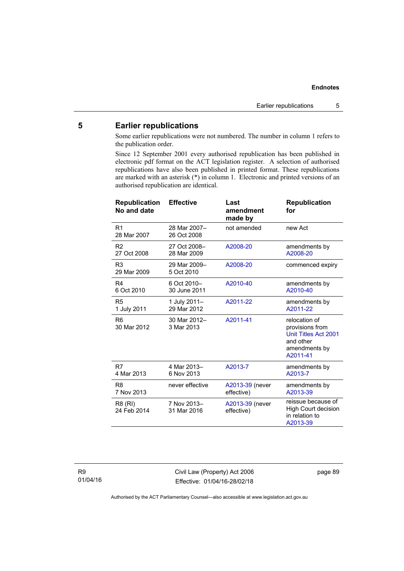### **5 Earlier republications**

Some earlier republications were not numbered. The number in column 1 refers to the publication order.

Since 12 September 2001 every authorised republication has been published in electronic pdf format on the ACT legislation register. A selection of authorised republications have also been published in printed format. These republications are marked with an asterisk (\*) in column 1. Electronic and printed versions of an authorised republication are identical.

| <b>Republication</b><br>No and date | <b>Effective</b>            | Last<br>amendment<br>made by  | <b>Republication</b><br>for                                                                        |
|-------------------------------------|-----------------------------|-------------------------------|----------------------------------------------------------------------------------------------------|
| R <sub>1</sub><br>28 Mar 2007       | 28 Mar 2007-<br>26 Oct 2008 | not amended                   | new Act                                                                                            |
| R <sub>2</sub><br>27 Oct 2008       | 27 Oct 2008-<br>28 Mar 2009 | A2008-20                      | amendments by<br>A2008-20                                                                          |
| R <sub>3</sub><br>29 Mar 2009       | 29 Mar 2009-<br>5 Oct 2010  | A2008-20                      | commenced expiry                                                                                   |
| R4<br>6 Oct 2010                    | 6 Oct 2010-<br>30 June 2011 | A2010-40                      | amendments by<br>A2010-40                                                                          |
| R <sub>5</sub><br>1 July 2011       | 1 July 2011-<br>29 Mar 2012 | A2011-22                      | amendments by<br>A2011-22                                                                          |
| R <sub>6</sub><br>30 Mar 2012       | 30 Mar 2012-<br>3 Mar 2013  | A2011-41                      | relocation of<br>provisions from<br>Unit Titles Act 2001<br>and other<br>amendments by<br>A2011-41 |
| R7<br>4 Mar 2013                    | 4 Mar 2013-<br>6 Nov 2013   | A2013-7                       | amendments by<br>A2013-7                                                                           |
| R <sub>8</sub><br>7 Nov 2013        | never effective             | A2013-39 (never<br>effective) | amendments by<br>A2013-39                                                                          |
| R8 (RI)<br>24 Feb 2014              | 7 Nov 2013-<br>31 Mar 2016  | A2013-39 (never<br>effective) | reissue because of<br><b>High Court decision</b><br>in relation to<br>A2013-39                     |
|                                     |                             |                               |                                                                                                    |

Civil Law (Property) Act 2006 Effective: 01/04/16-28/02/18 page 89